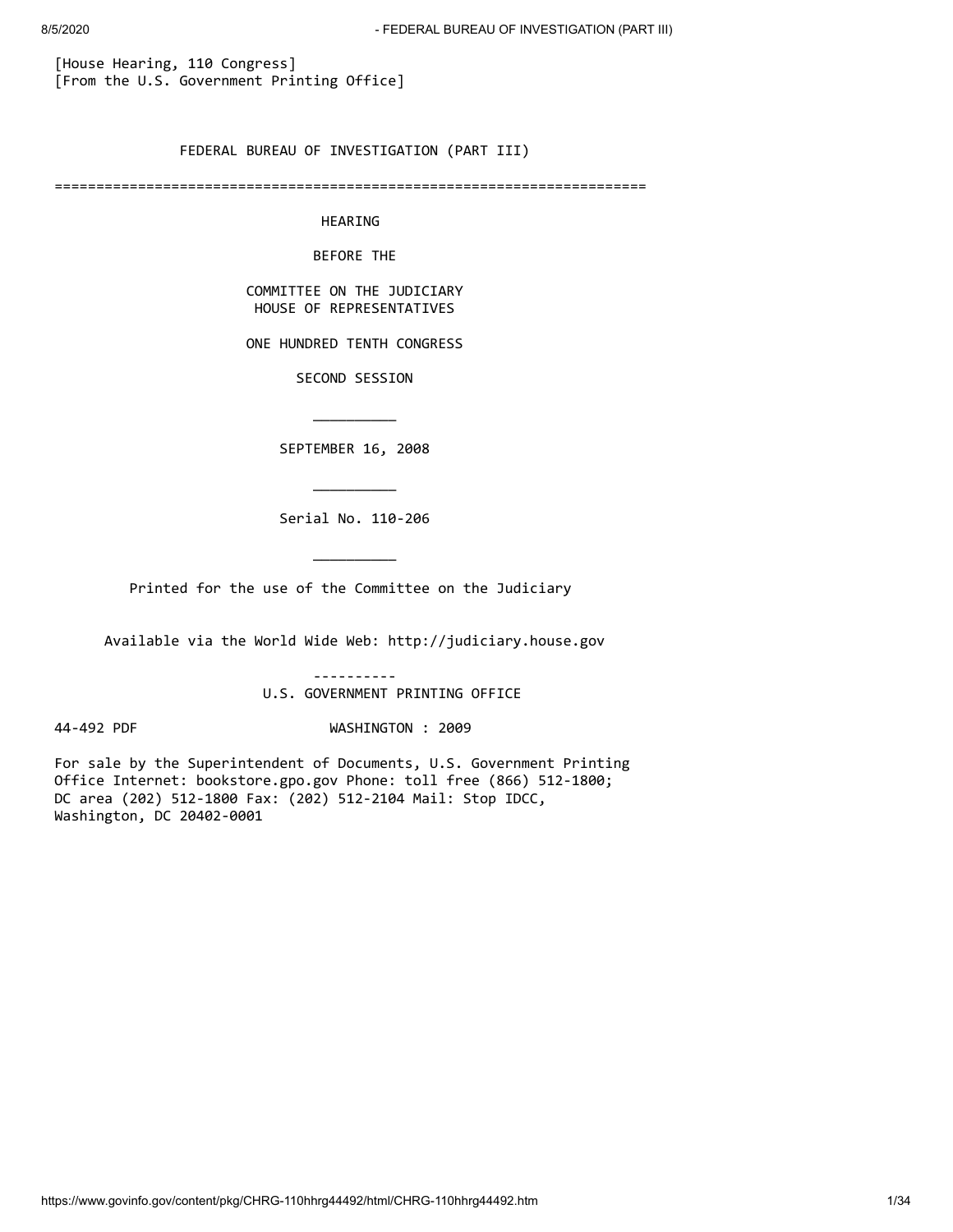[House Hearing, 110 Congress] [From the U.S. Government Printing Office]

\_\_\_\_\_\_\_\_\_\_

\_\_\_\_\_\_\_\_\_\_

\_\_\_\_\_\_\_\_\_\_

FEDERAL BUREAU OF INVESTIGATION (PART III)

=======================================================================

HEARING

BEFORE THE

 COMMITTEE ON THE JUDICIARY HOUSE OF REPRESENTATIVES

ONE HUNDRED TENTH CONGRESS

SECOND SESSION

SEPTEMBER 16, 2008

Serial No. 110-206

Printed for the use of the Committee on the Judiciary

Available via the World Wide Web: http://judiciary.house.gov

----------

U.S. GOVERNMENT PRINTING OFFICE

44-492 PDF WASHINGTON : 2009

For sale by the Superintendent of Documents, U.S. Government Printing Office Internet: bookstore.gpo.gov Phone: toll free (866) 512-1800; DC area (202) 512-1800 Fax: (202) 512-2104 Mail: Stop IDCC, Washington, DC 20402-0001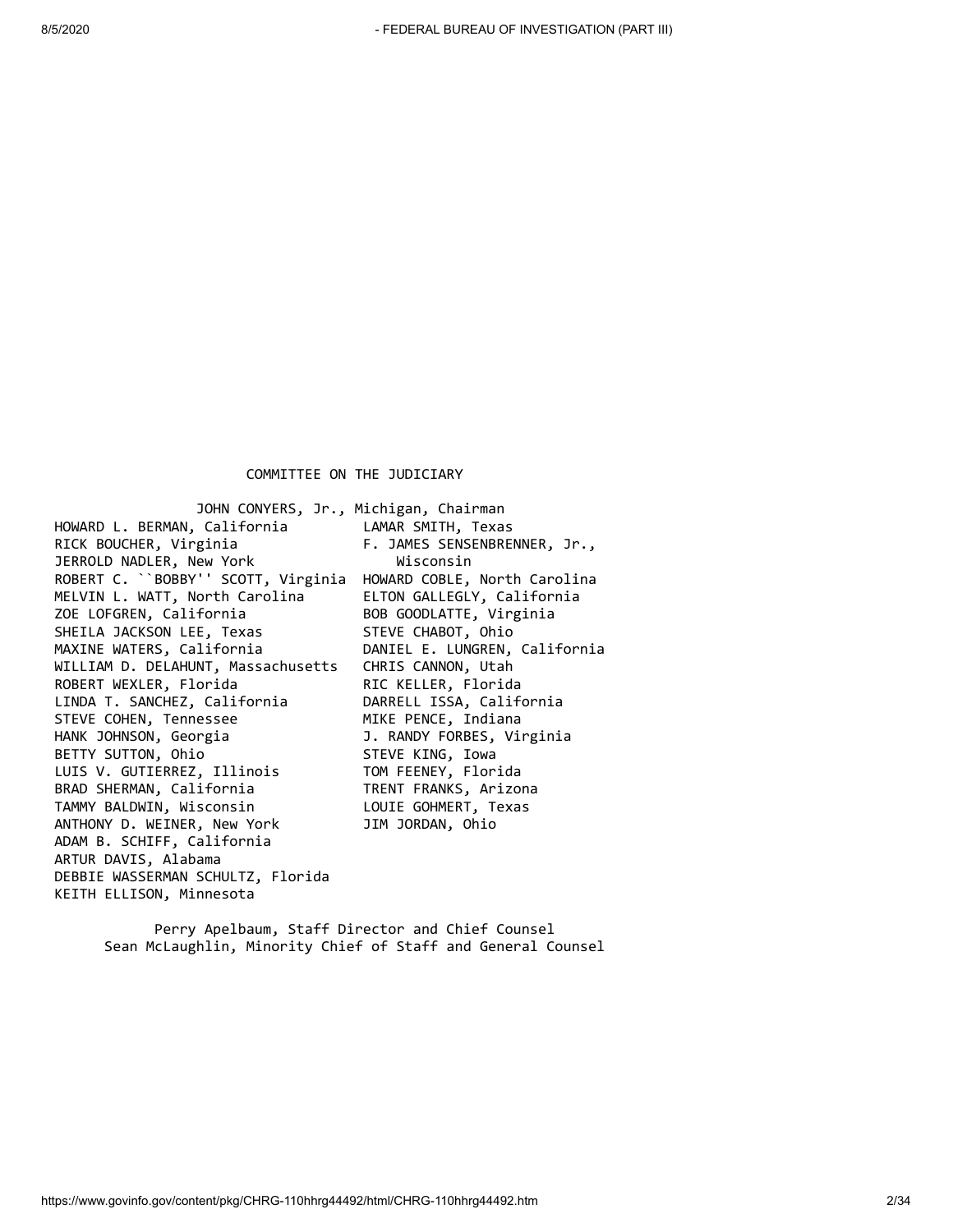COMMITTEE ON THE JUDICIARY

 JOHN CONYERS, Jr., Michigan, Chairman HOWARD L. BERMAN, California LAMAR SMITH, Texas RICK BOUCHER, Virginia F. JAMES SENSENBRENNER, Jr., JERROLD NADLER, New York **Wisconsin** ROBERT C. ``BOBBY'' SCOTT, Virginia HOWARD COBLE, North Carolina MELVIN L. WATT, North Carolina ELTON GALLEGLY, California ZOE LOFGREN, California and BOB GOODLATTE, Virginia SHEILA JACKSON LEE, Texas STEVE CHABOT, Ohio MAXINE WATERS, California DANIEL E. LUNGREN, California WILLIAM D. DELAHUNT, Massachusetts CHRIS CANNON, Utah ROBERT WEXLER, Florida RIC KELLER, Florida LINDA T. SANCHEZ, California DARRELL ISSA, California STEVE COHEN, Tennessee HANK JOHNSON, Georgia and J. RANDY FORBES, Virginia BETTY SUTTON, Ohio STEVE KING, Iowa LUIS V. GUTIERREZ, Illinois TOM FEENEY, Florida BRAD SHERMAN, California TRENT FRANKS, Arizona TAMMY BALDWIN, Wisconsin LOUIE GOHMERT, Texas ANTHONY D. WEINER, New York JIM JORDAN, Ohio ADAM B. SCHIFF, California ARTUR DAVIS, Alabama DEBBIE WASSERMAN SCHULTZ, Florida KEITH ELLISON, Minnesota

 Perry Apelbaum, Staff Director and Chief Counsel Sean McLaughlin, Minority Chief of Staff and General Counsel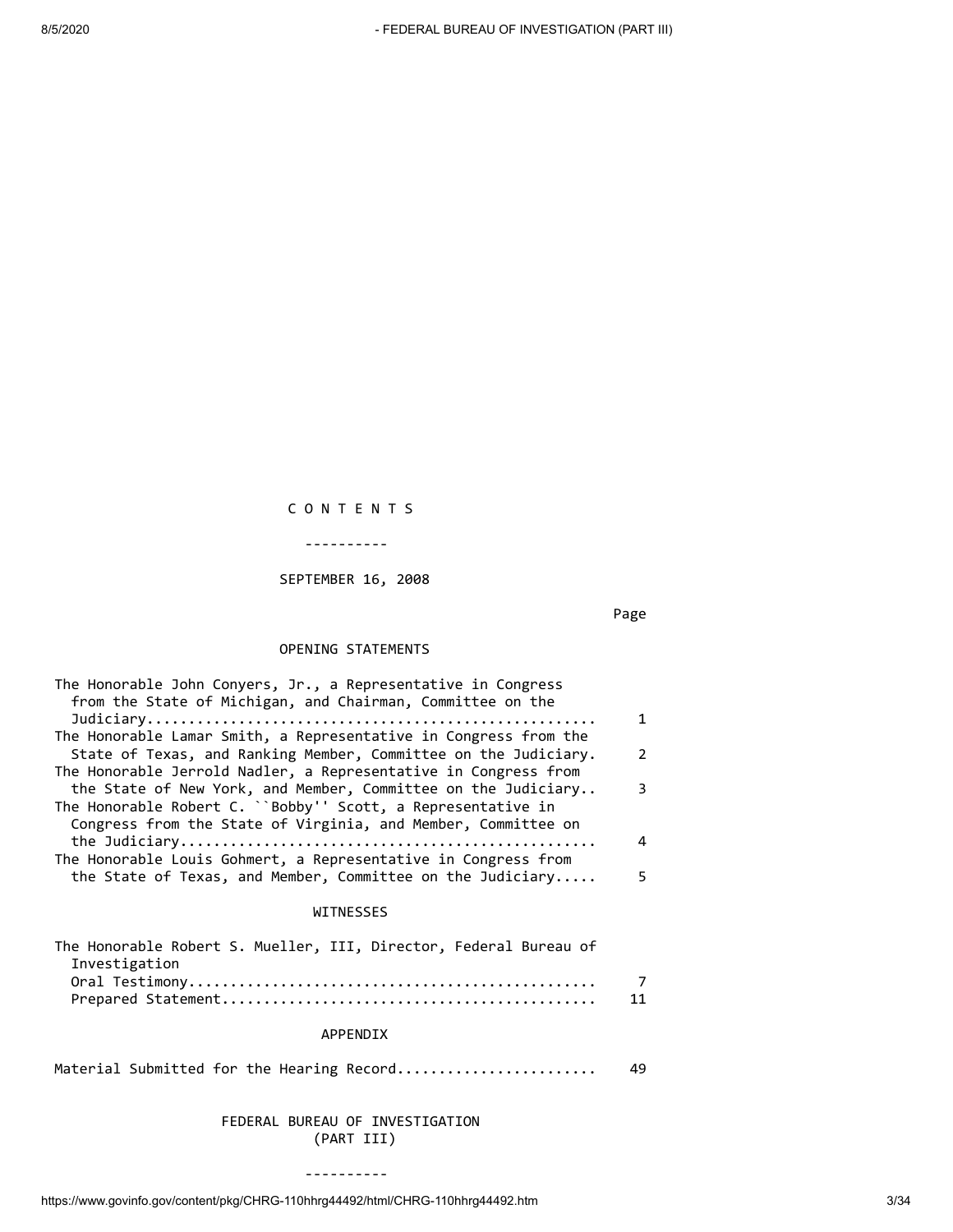# C O N T E N T S

----------

#### SEPTEMBER 16, 2008

ーンのことには、このことをしている。<br>Page

## OPENING STATEMENTS

| The Honorable John Conyers, Jr., a Representative in Congress    |    |
|------------------------------------------------------------------|----|
| from the State of Michigan, and Chairman, Committee on the       |    |
|                                                                  | 1  |
| The Honorable Lamar Smith, a Representative in Congress from the |    |
| State of Texas, and Ranking Member, Committee on the Judiciary.  | 2  |
| The Honorable Jerrold Nadler, a Representative in Congress from  |    |
| the State of New York, and Member, Committee on the Judiciary    | 3  |
| The Honorable Robert C. ``Bobby'' Scott, a Representative in     |    |
| Congress from the State of Virginia, and Member, Committee on    |    |
|                                                                  | 4  |
| The Honorable Louis Gohmert, a Representative in Congress from   |    |
| the State of Texas, and Member, Committee on the Judiciary       | 5. |

#### WITNESSES

| The Honorable Robert S. Mueller, III, Director, Federal Bureau of |                |
|-------------------------------------------------------------------|----------------|
| Investigation                                                     |                |
|                                                                   | $\overline{7}$ |
|                                                                   |                |
|                                                                   |                |

### APPENDIX

Material Submitted for the Hearing Record........................ 49

### FEDERAL BUREAU OF INVESTIGATION (PART III)

----------

https://www.govinfo.gov/content/pkg/CHRG-110hhrg44492/html/CHRG-110hhrg44492.htm 3/34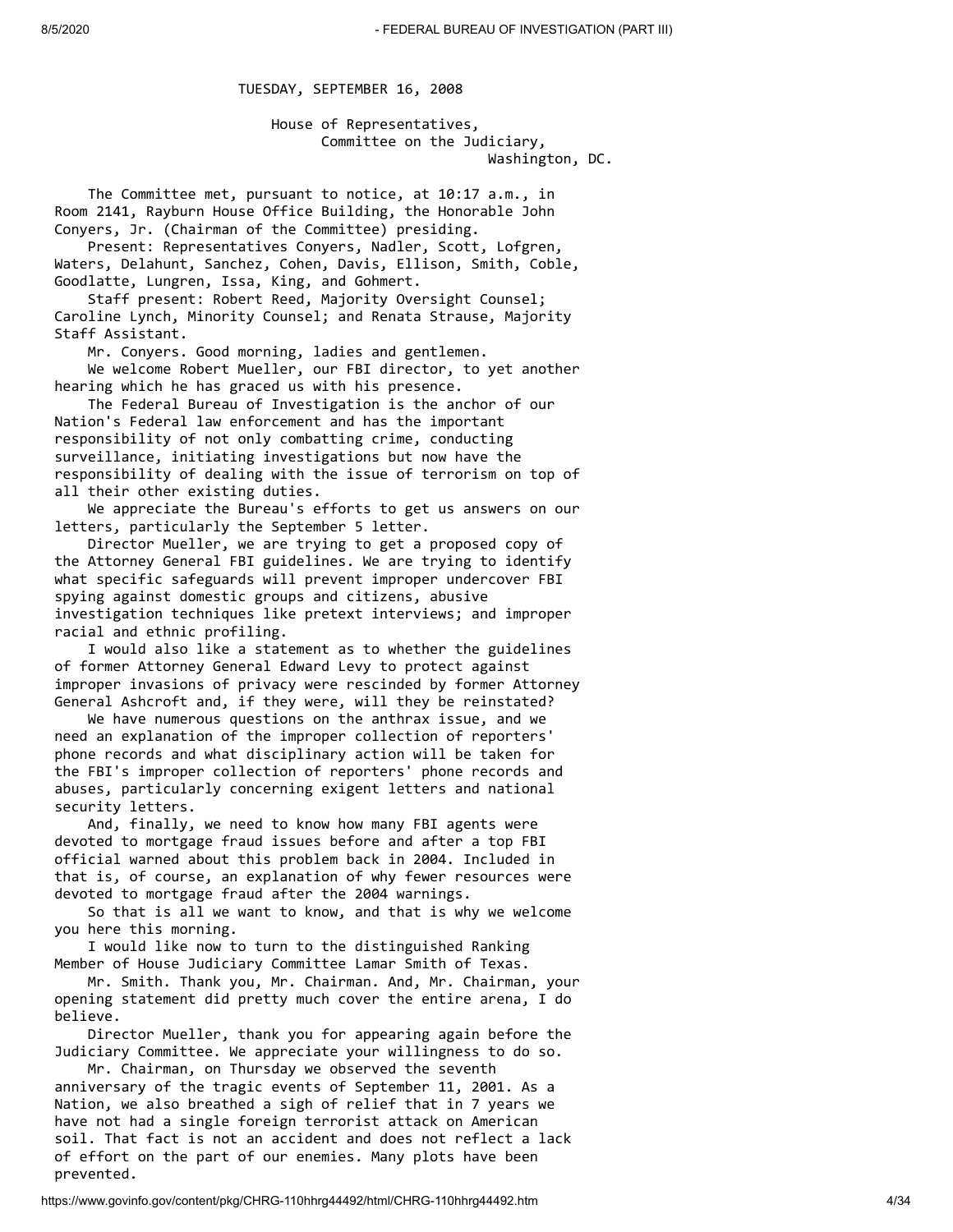TUESDAY, SEPTEMBER 16, 2008

 House of Representatives, Committee on the Judiciary, Washington, DC.

 The Committee met, pursuant to notice, at 10:17 a.m., in Room 2141, Rayburn House Office Building, the Honorable John Conyers, Jr. (Chairman of the Committee) presiding.

 Present: Representatives Conyers, Nadler, Scott, Lofgren, Waters, Delahunt, Sanchez, Cohen, Davis, Ellison, Smith, Coble, Goodlatte, Lungren, Issa, King, and Gohmert.

 Staff present: Robert Reed, Majority Oversight Counsel; Caroline Lynch, Minority Counsel; and Renata Strause, Majority Staff Assistant.

 Mr. Conyers. Good morning, ladies and gentlemen. We welcome Robert Mueller, our FBI director, to yet another hearing which he has graced us with his presence.

 The Federal Bureau of Investigation is the anchor of our Nation's Federal law enforcement and has the important responsibility of not only combatting crime, conducting surveillance, initiating investigations but now have the responsibility of dealing with the issue of terrorism on top of all their other existing duties.

 We appreciate the Bureau's efforts to get us answers on our letters, particularly the September 5 letter.

 Director Mueller, we are trying to get a proposed copy of the Attorney General FBI guidelines. We are trying to identify what specific safeguards will prevent improper undercover FBI spying against domestic groups and citizens, abusive investigation techniques like pretext interviews; and improper racial and ethnic profiling.

 I would also like a statement as to whether the guidelines of former Attorney General Edward Levy to protect against improper invasions of privacy were rescinded by former Attorney General Ashcroft and, if they were, will they be reinstated?

 We have numerous questions on the anthrax issue, and we need an explanation of the improper collection of reporters' phone records and what disciplinary action will be taken for the FBI's improper collection of reporters' phone records and abuses, particularly concerning exigent letters and national security letters.

 And, finally, we need to know how many FBI agents were devoted to mortgage fraud issues before and after a top FBI official warned about this problem back in 2004. Included in that is, of course, an explanation of why fewer resources were devoted to mortgage fraud after the 2004 warnings.

 So that is all we want to know, and that is why we welcome you here this morning.

 I would like now to turn to the distinguished Ranking Member of House Judiciary Committee Lamar Smith of Texas.

 Mr. Smith. Thank you, Mr. Chairman. And, Mr. Chairman, your opening statement did pretty much cover the entire arena, I do believe.

 Director Mueller, thank you for appearing again before the Judiciary Committee. We appreciate your willingness to do so.

 Mr. Chairman, on Thursday we observed the seventh anniversary of the tragic events of September 11, 2001. As a Nation, we also breathed a sigh of relief that in 7 years we have not had a single foreign terrorist attack on American soil. That fact is not an accident and does not reflect a lack of effort on the part of our enemies. Many plots have been prevented.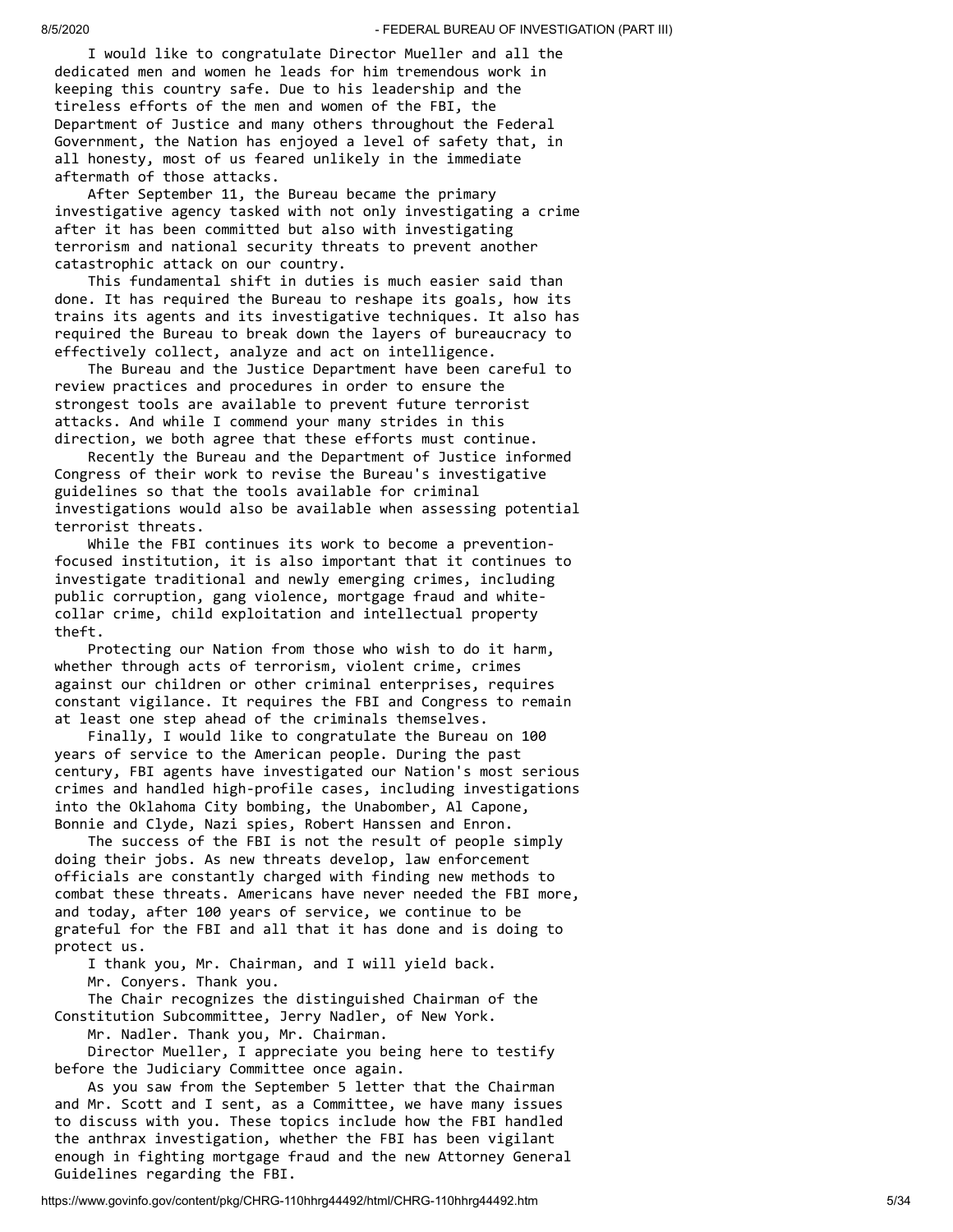I would like to congratulate Director Mueller and all the dedicated men and women he leads for him tremendous work in keeping this country safe. Due to his leadership and the tireless efforts of the men and women of the FBI, the Department of Justice and many others throughout the Federal Government, the Nation has enjoyed a level of safety that, in all honesty, most of us feared unlikely in the immediate aftermath of those attacks.

 After September 11, the Bureau became the primary investigative agency tasked with not only investigating a crime after it has been committed but also with investigating terrorism and national security threats to prevent another catastrophic attack on our country.

 This fundamental shift in duties is much easier said than done. It has required the Bureau to reshape its goals, how its trains its agents and its investigative techniques. It also has required the Bureau to break down the layers of bureaucracy to effectively collect, analyze and act on intelligence.

 The Bureau and the Justice Department have been careful to review practices and procedures in order to ensure the strongest tools are available to prevent future terrorist attacks. And while I commend your many strides in this direction, we both agree that these efforts must continue.

 Recently the Bureau and the Department of Justice informed Congress of their work to revise the Bureau's investigative guidelines so that the tools available for criminal investigations would also be available when assessing potential terrorist threats.

 While the FBI continues its work to become a preventionfocused institution, it is also important that it continues to investigate traditional and newly emerging crimes, including public corruption, gang violence, mortgage fraud and whitecollar crime, child exploitation and intellectual property theft.

 Protecting our Nation from those who wish to do it harm, whether through acts of terrorism, violent crime, crimes against our children or other criminal enterprises, requires constant vigilance. It requires the FBI and Congress to remain at least one step ahead of the criminals themselves.

 Finally, I would like to congratulate the Bureau on 100 years of service to the American people. During the past century, FBI agents have investigated our Nation's most serious crimes and handled high-profile cases, including investigations into the Oklahoma City bombing, the Unabomber, Al Capone, Bonnie and Clyde, Nazi spies, Robert Hanssen and Enron.

 The success of the FBI is not the result of people simply doing their jobs. As new threats develop, law enforcement officials are constantly charged with finding new methods to combat these threats. Americans have never needed the FBI more, and today, after 100 years of service, we continue to be grateful for the FBI and all that it has done and is doing to protect us.

 I thank you, Mr. Chairman, and I will yield back. Mr. Conyers. Thank you.

 The Chair recognizes the distinguished Chairman of the Constitution Subcommittee, Jerry Nadler, of New York.

Mr. Nadler. Thank you, Mr. Chairman.

 Director Mueller, I appreciate you being here to testify before the Judiciary Committee once again.

 As you saw from the September 5 letter that the Chairman and Mr. Scott and I sent, as a Committee, we have many issues to discuss with you. These topics include how the FBI handled the anthrax investigation, whether the FBI has been vigilant enough in fighting mortgage fraud and the new Attorney General Guidelines regarding the FBI.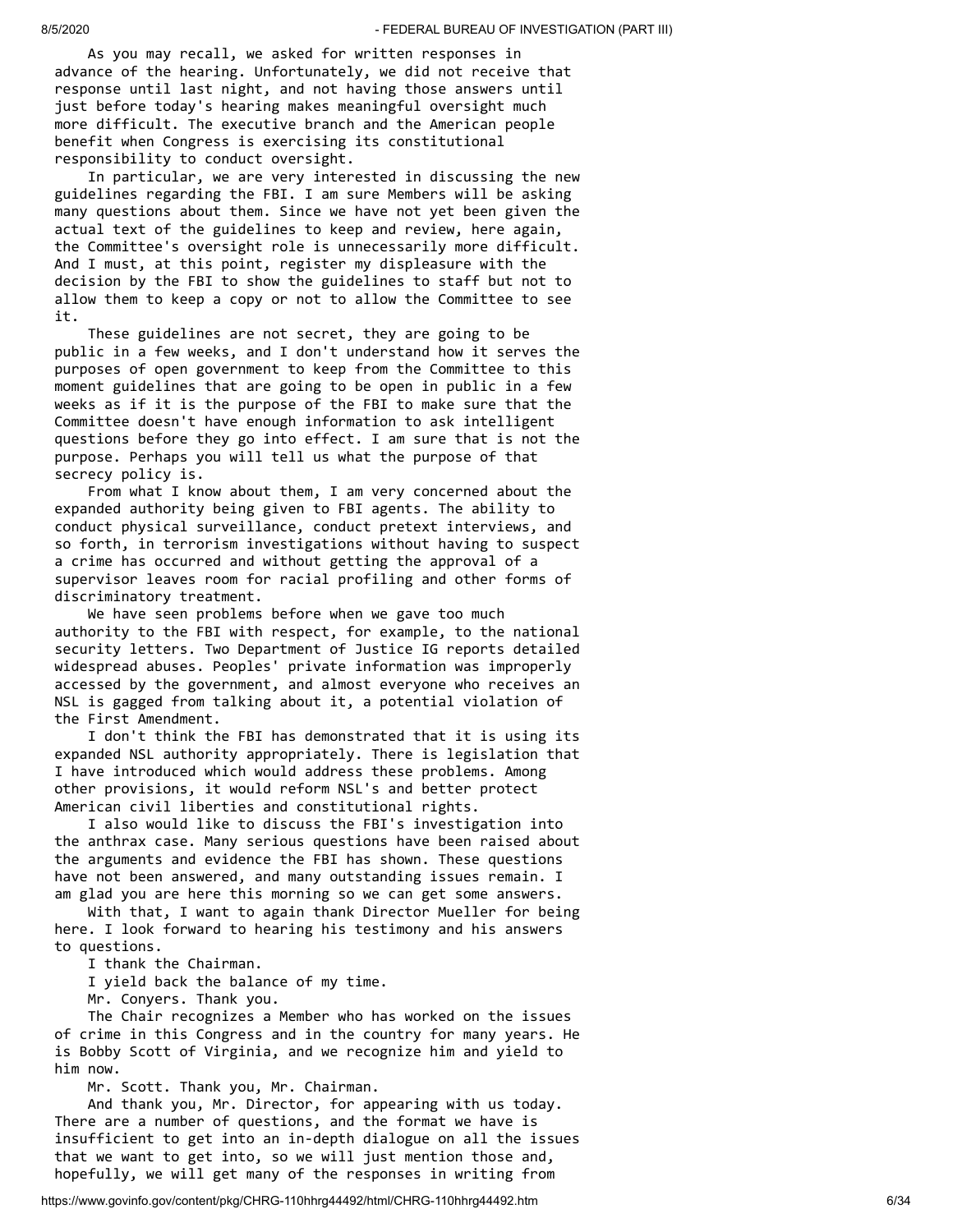As you may recall, we asked for written responses in advance of the hearing. Unfortunately, we did not receive that response until last night, and not having those answers until just before today's hearing makes meaningful oversight much more difficult. The executive branch and the American people benefit when Congress is exercising its constitutional responsibility to conduct oversight.

 In particular, we are very interested in discussing the new guidelines regarding the FBI. I am sure Members will be asking many questions about them. Since we have not yet been given the actual text of the guidelines to keep and review, here again, the Committee's oversight role is unnecessarily more difficult. And I must, at this point, register my displeasure with the decision by the FBI to show the guidelines to staff but not to allow them to keep a copy or not to allow the Committee to see it.

 These guidelines are not secret, they are going to be public in a few weeks, and I don't understand how it serves the purposes of open government to keep from the Committee to this moment guidelines that are going to be open in public in a few weeks as if it is the purpose of the FBI to make sure that the Committee doesn't have enough information to ask intelligent questions before they go into effect. I am sure that is not the purpose. Perhaps you will tell us what the purpose of that secrecy policy is.

 From what I know about them, I am very concerned about the expanded authority being given to FBI agents. The ability to conduct physical surveillance, conduct pretext interviews, and so forth, in terrorism investigations without having to suspect a crime has occurred and without getting the approval of a supervisor leaves room for racial profiling and other forms of discriminatory treatment.

 We have seen problems before when we gave too much authority to the FBI with respect, for example, to the national security letters. Two Department of Justice IG reports detailed widespread abuses. Peoples' private information was improperly accessed by the government, and almost everyone who receives an NSL is gagged from talking about it, a potential violation of the First Amendment.

 I don't think the FBI has demonstrated that it is using its expanded NSL authority appropriately. There is legislation that I have introduced which would address these problems. Among other provisions, it would reform NSL's and better protect American civil liberties and constitutional rights.

 I also would like to discuss the FBI's investigation into the anthrax case. Many serious questions have been raised about the arguments and evidence the FBI has shown. These questions have not been answered, and many outstanding issues remain. I am glad you are here this morning so we can get some answers.

 With that, I want to again thank Director Mueller for being here. I look forward to hearing his testimony and his answers to questions.

I thank the Chairman.

I yield back the balance of my time.

Mr. Conyers. Thank you.

 The Chair recognizes a Member who has worked on the issues of crime in this Congress and in the country for many years. He is Bobby Scott of Virginia, and we recognize him and yield to him now.

Mr. Scott. Thank you, Mr. Chairman.

 And thank you, Mr. Director, for appearing with us today. There are a number of questions, and the format we have is insufficient to get into an in-depth dialogue on all the issues that we want to get into, so we will just mention those and, hopefully, we will get many of the responses in writing from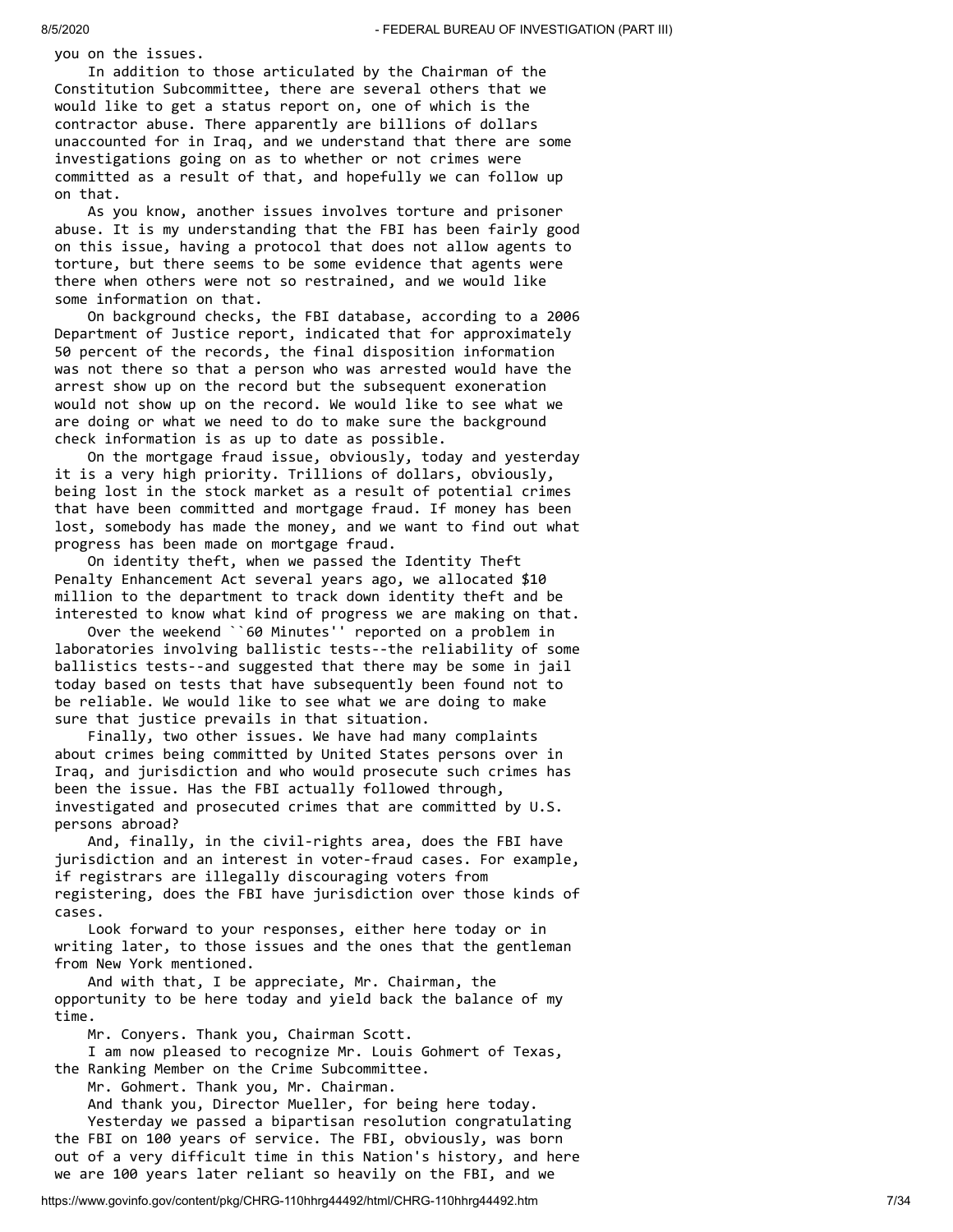you on the issues.

 In addition to those articulated by the Chairman of the Constitution Subcommittee, there are several others that we would like to get a status report on, one of which is the contractor abuse. There apparently are billions of dollars unaccounted for in Iraq, and we understand that there are some investigations going on as to whether or not crimes were committed as a result of that, and hopefully we can follow up on that.

 As you know, another issues involves torture and prisoner abuse. It is my understanding that the FBI has been fairly good on this issue, having a protocol that does not allow agents to torture, but there seems to be some evidence that agents were there when others were not so restrained, and we would like some information on that.

 On background checks, the FBI database, according to a 2006 Department of Justice report, indicated that for approximately 50 percent of the records, the final disposition information was not there so that a person who was arrested would have the arrest show up on the record but the subsequent exoneration would not show up on the record. We would like to see what we are doing or what we need to do to make sure the background check information is as up to date as possible.

 On the mortgage fraud issue, obviously, today and yesterday it is a very high priority. Trillions of dollars, obviously, being lost in the stock market as a result of potential crimes that have been committed and mortgage fraud. If money has been lost, somebody has made the money, and we want to find out what progress has been made on mortgage fraud.

 On identity theft, when we passed the Identity Theft Penalty Enhancement Act several years ago, we allocated \$10 million to the department to track down identity theft and be interested to know what kind of progress we are making on that.

 Over the weekend ``60 Minutes'' reported on a problem in laboratories involving ballistic tests--the reliability of some ballistics tests--and suggested that there may be some in jail today based on tests that have subsequently been found not to be reliable. We would like to see what we are doing to make sure that justice prevails in that situation.

 Finally, two other issues. We have had many complaints about crimes being committed by United States persons over in Iraq, and jurisdiction and who would prosecute such crimes has been the issue. Has the FBI actually followed through, investigated and prosecuted crimes that are committed by U.S. persons abroad?

 And, finally, in the civil-rights area, does the FBI have jurisdiction and an interest in voter-fraud cases. For example, if registrars are illegally discouraging voters from registering, does the FBI have jurisdiction over those kinds of cases.

 Look forward to your responses, either here today or in writing later, to those issues and the ones that the gentleman from New York mentioned.

 And with that, I be appreciate, Mr. Chairman, the opportunity to be here today and yield back the balance of my time.

Mr. Conyers. Thank you, Chairman Scott.

 I am now pleased to recognize Mr. Louis Gohmert of Texas, the Ranking Member on the Crime Subcommittee.

Mr. Gohmert. Thank you, Mr. Chairman.

 And thank you, Director Mueller, for being here today. Yesterday we passed a bipartisan resolution congratulating the FBI on 100 years of service. The FBI, obviously, was born out of a very difficult time in this Nation's history, and here

we are 100 years later reliant so heavily on the FBI, and we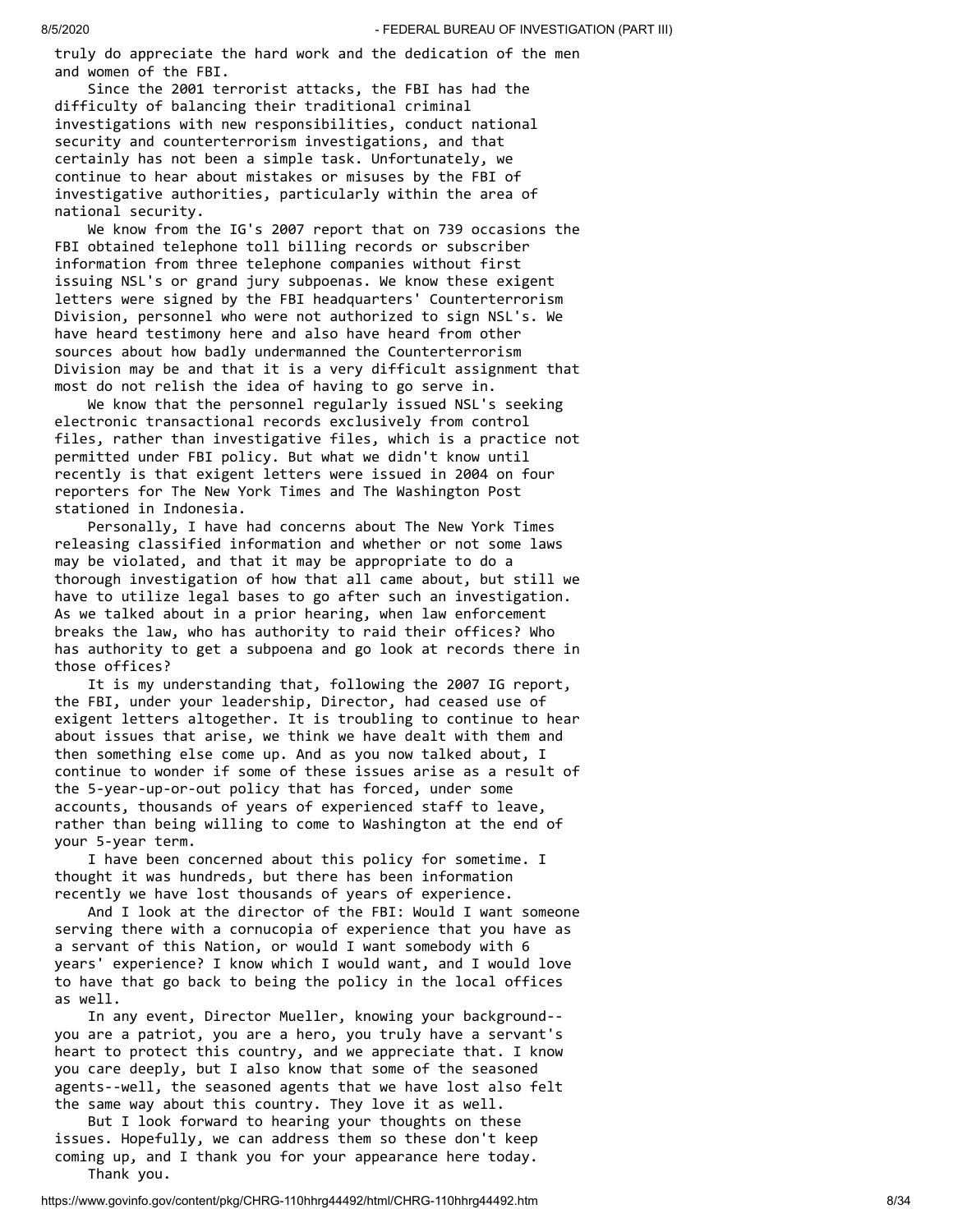truly do appreciate the hard work and the dedication of the men and women of the FBI.

 Since the 2001 terrorist attacks, the FBI has had the difficulty of balancing their traditional criminal investigations with new responsibilities, conduct national security and counterterrorism investigations, and that certainly has not been a simple task. Unfortunately, we continue to hear about mistakes or misuses by the FBI of investigative authorities, particularly within the area of national security.

 We know from the IG's 2007 report that on 739 occasions the FBI obtained telephone toll billing records or subscriber information from three telephone companies without first issuing NSL's or grand jury subpoenas. We know these exigent letters were signed by the FBI headquarters' Counterterrorism Division, personnel who were not authorized to sign NSL's. We have heard testimony here and also have heard from other sources about how badly undermanned the Counterterrorism Division may be and that it is a very difficult assignment that most do not relish the idea of having to go serve in.

 We know that the personnel regularly issued NSL's seeking electronic transactional records exclusively from control files, rather than investigative files, which is a practice not permitted under FBI policy. But what we didn't know until recently is that exigent letters were issued in 2004 on four reporters for The New York Times and The Washington Post stationed in Indonesia.

 Personally, I have had concerns about The New York Times releasing classified information and whether or not some laws may be violated, and that it may be appropriate to do a thorough investigation of how that all came about, but still we have to utilize legal bases to go after such an investigation. As we talked about in a prior hearing, when law enforcement breaks the law, who has authority to raid their offices? Who has authority to get a subpoena and go look at records there in those offices?

 It is my understanding that, following the 2007 IG report, the FBI, under your leadership, Director, had ceased use of exigent letters altogether. It is troubling to continue to hear about issues that arise, we think we have dealt with them and then something else come up. And as you now talked about, I continue to wonder if some of these issues arise as a result of the 5-year-up-or-out policy that has forced, under some accounts, thousands of years of experienced staff to leave, rather than being willing to come to Washington at the end of your 5-year term.

 I have been concerned about this policy for sometime. I thought it was hundreds, but there has been information recently we have lost thousands of years of experience.

 And I look at the director of the FBI: Would I want someone serving there with a cornucopia of experience that you have as a servant of this Nation, or would I want somebody with 6 years' experience? I know which I would want, and I would love to have that go back to being the policy in the local offices as well.

 In any event, Director Mueller, knowing your background- you are a patriot, you are a hero, you truly have a servant's heart to protect this country, and we appreciate that. I know you care deeply, but I also know that some of the seasoned agents--well, the seasoned agents that we have lost also felt the same way about this country. They love it as well.

 But I look forward to hearing your thoughts on these issues. Hopefully, we can address them so these don't keep coming up, and I thank you for your appearance here today. Thank you.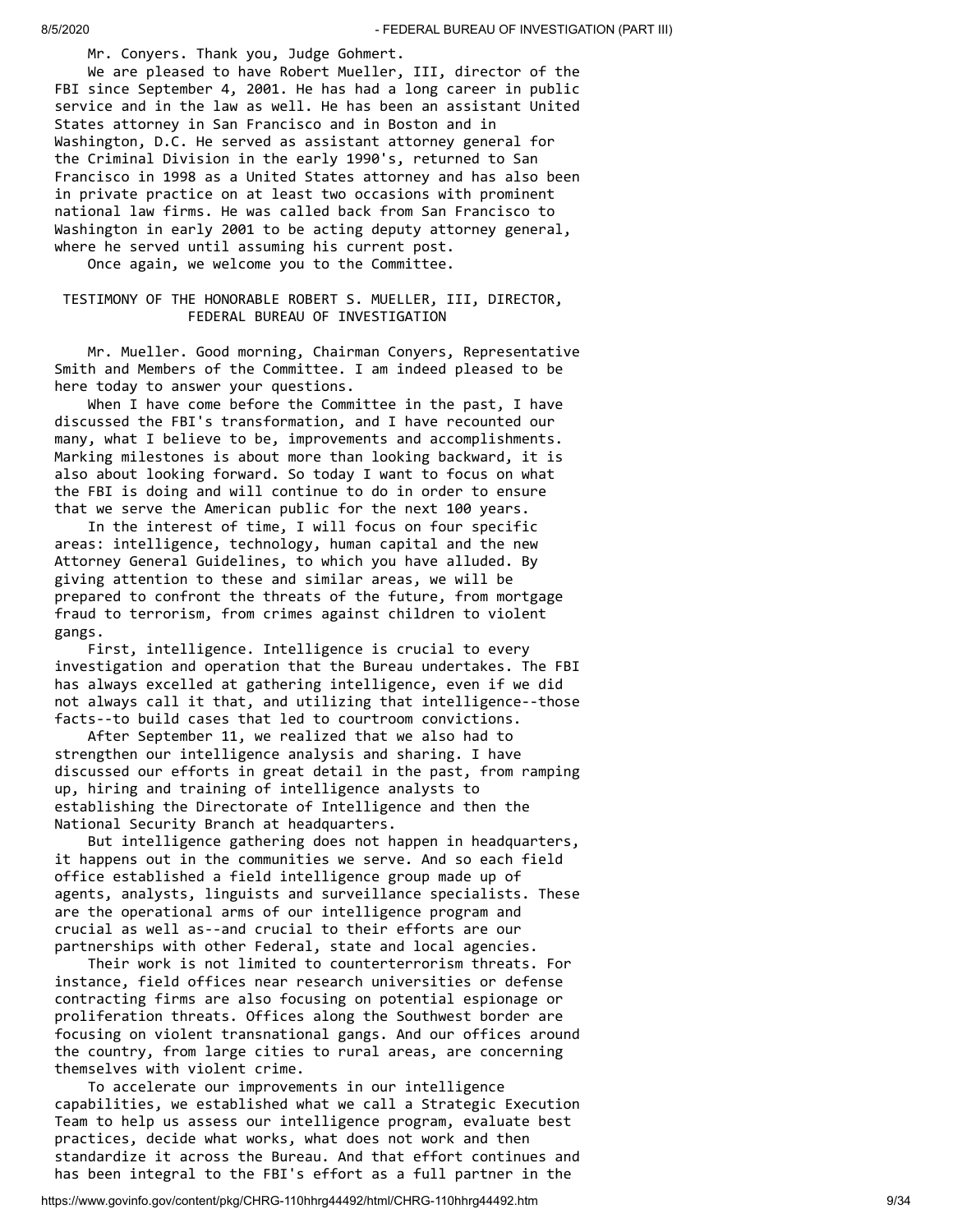Mr. Conyers. Thank you, Judge Gohmert.

 We are pleased to have Robert Mueller, III, director of the FBI since September 4, 2001. He has had a long career in public service and in the law as well. He has been an assistant United States attorney in San Francisco and in Boston and in Washington, D.C. He served as assistant attorney general for the Criminal Division in the early 1990's, returned to San Francisco in 1998 as a United States attorney and has also been in private practice on at least two occasions with prominent national law firms. He was called back from San Francisco to Washington in early 2001 to be acting deputy attorney general, where he served until assuming his current post.

Once again, we welcome you to the Committee.

#### TESTIMONY OF THE HONORABLE ROBERT S. MUELLER, III, DIRECTOR, FEDERAL BUREAU OF INVESTIGATION

 Mr. Mueller. Good morning, Chairman Conyers, Representative Smith and Members of the Committee. I am indeed pleased to be here today to answer your questions.

 When I have come before the Committee in the past, I have discussed the FBI's transformation, and I have recounted our many, what I believe to be, improvements and accomplishments. Marking milestones is about more than looking backward, it is also about looking forward. So today I want to focus on what the FBI is doing and will continue to do in order to ensure that we serve the American public for the next 100 years.

 In the interest of time, I will focus on four specific areas: intelligence, technology, human capital and the new Attorney General Guidelines, to which you have alluded. By giving attention to these and similar areas, we will be prepared to confront the threats of the future, from mortgage fraud to terrorism, from crimes against children to violent gangs.

 First, intelligence. Intelligence is crucial to every investigation and operation that the Bureau undertakes. The FBI has always excelled at gathering intelligence, even if we did not always call it that, and utilizing that intelligence--those facts--to build cases that led to courtroom convictions.

 After September 11, we realized that we also had to strengthen our intelligence analysis and sharing. I have discussed our efforts in great detail in the past, from ramping up, hiring and training of intelligence analysts to establishing the Directorate of Intelligence and then the National Security Branch at headquarters.

 But intelligence gathering does not happen in headquarters, it happens out in the communities we serve. And so each field office established a field intelligence group made up of agents, analysts, linguists and surveillance specialists. These are the operational arms of our intelligence program and crucial as well as--and crucial to their efforts are our partnerships with other Federal, state and local agencies.

 Their work is not limited to counterterrorism threats. For instance, field offices near research universities or defense contracting firms are also focusing on potential espionage or proliferation threats. Offices along the Southwest border are focusing on violent transnational gangs. And our offices around the country, from large cities to rural areas, are concerning themselves with violent crime.

 To accelerate our improvements in our intelligence capabilities, we established what we call a Strategic Execution Team to help us assess our intelligence program, evaluate best practices, decide what works, what does not work and then standardize it across the Bureau. And that effort continues and has been integral to the FBI's effort as a full partner in the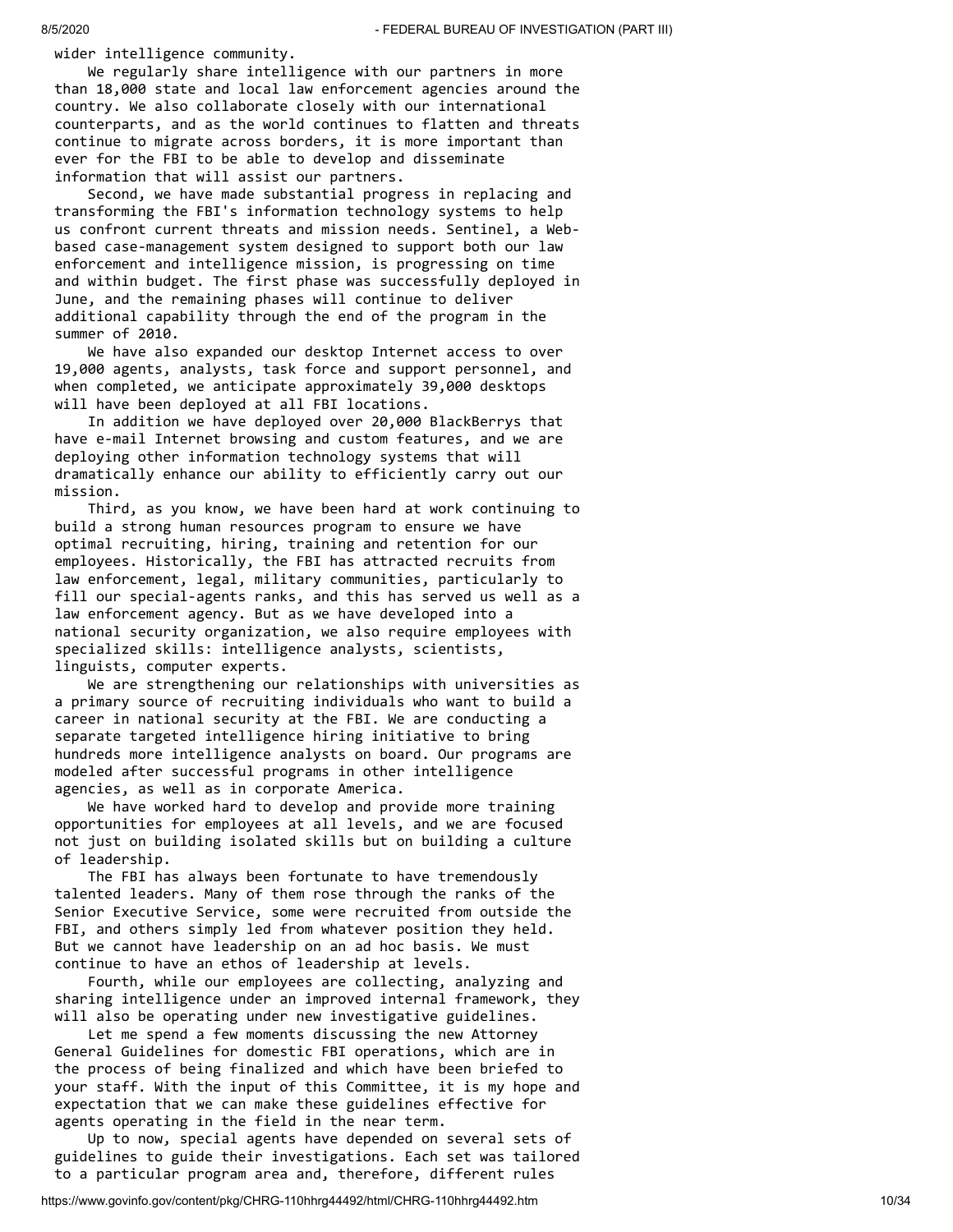wider intelligence community.

 We regularly share intelligence with our partners in more than 18,000 state and local law enforcement agencies around the country. We also collaborate closely with our international counterparts, and as the world continues to flatten and threats continue to migrate across borders, it is more important than ever for the FBI to be able to develop and disseminate information that will assist our partners.

 Second, we have made substantial progress in replacing and transforming the FBI's information technology systems to help us confront current threats and mission needs. Sentinel, a Webbased case-management system designed to support both our law enforcement and intelligence mission, is progressing on time and within budget. The first phase was successfully deployed in June, and the remaining phases will continue to deliver additional capability through the end of the program in the summer of 2010.

 We have also expanded our desktop Internet access to over 19,000 agents, analysts, task force and support personnel, and when completed, we anticipate approximately 39,000 desktops will have been deployed at all FBI locations.

 In addition we have deployed over 20,000 BlackBerrys that have e-mail Internet browsing and custom features, and we are deploying other information technology systems that will dramatically enhance our ability to efficiently carry out our mission.

 Third, as you know, we have been hard at work continuing to build a strong human resources program to ensure we have optimal recruiting, hiring, training and retention for our employees. Historically, the FBI has attracted recruits from law enforcement, legal, military communities, particularly to fill our special-agents ranks, and this has served us well as a law enforcement agency. But as we have developed into a national security organization, we also require employees with specialized skills: intelligence analysts, scientists, linguists, computer experts.

 We are strengthening our relationships with universities as a primary source of recruiting individuals who want to build a career in national security at the FBI. We are conducting a separate targeted intelligence hiring initiative to bring hundreds more intelligence analysts on board. Our programs are modeled after successful programs in other intelligence agencies, as well as in corporate America.

We have worked hard to develop and provide more training opportunities for employees at all levels, and we are focused not just on building isolated skills but on building a culture of leadership.

 The FBI has always been fortunate to have tremendously talented leaders. Many of them rose through the ranks of the Senior Executive Service, some were recruited from outside the FBI, and others simply led from whatever position they held. But we cannot have leadership on an ad hoc basis. We must continue to have an ethos of leadership at levels.

 Fourth, while our employees are collecting, analyzing and sharing intelligence under an improved internal framework, they will also be operating under new investigative guidelines.

 Let me spend a few moments discussing the new Attorney General Guidelines for domestic FBI operations, which are in the process of being finalized and which have been briefed to your staff. With the input of this Committee, it is my hope and expectation that we can make these guidelines effective for agents operating in the field in the near term.

 Up to now, special agents have depended on several sets of guidelines to guide their investigations. Each set was tailored to a particular program area and, therefore, different rules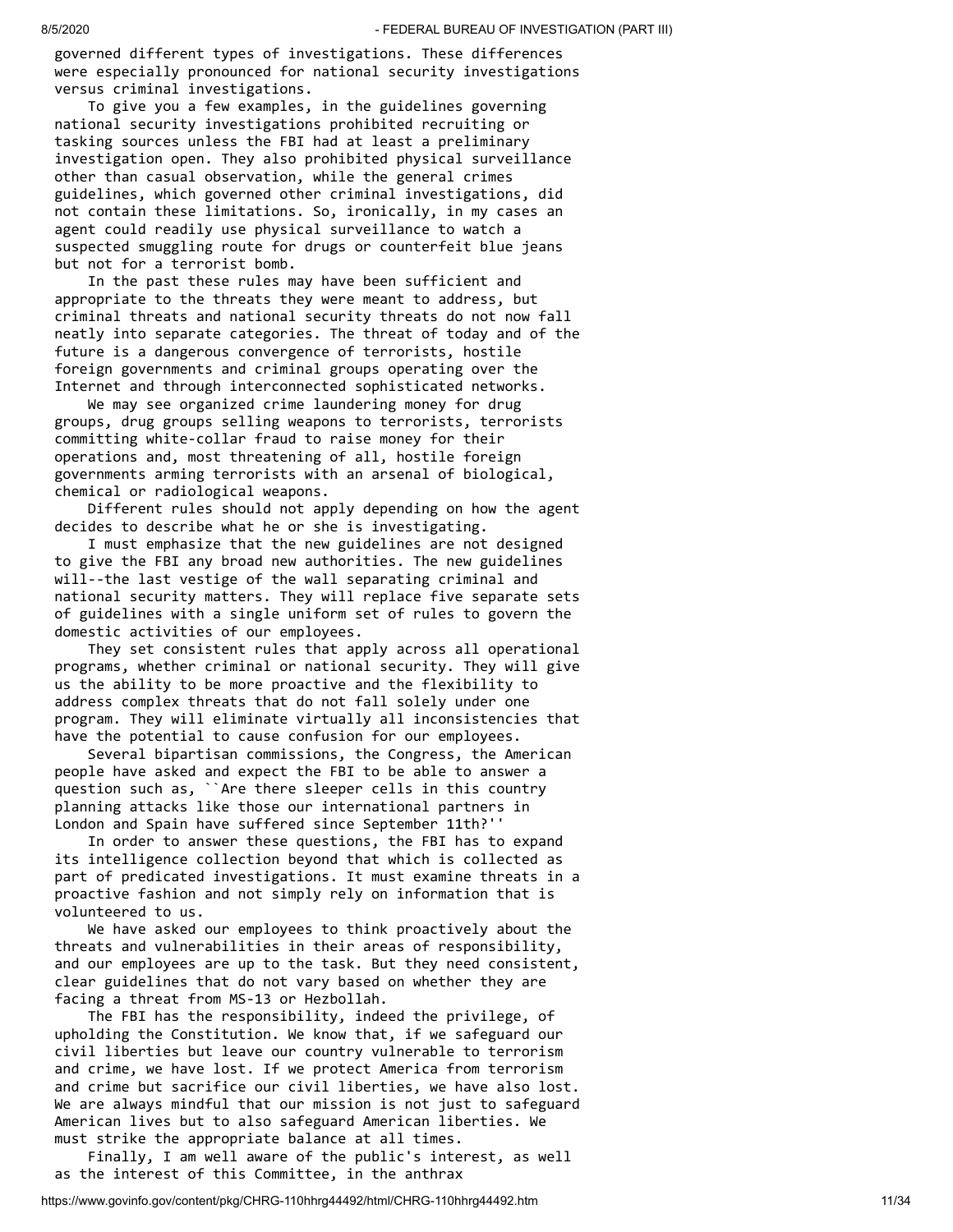governed different types of investigations. These differences were especially pronounced for national security investigations versus criminal investigations.

 To give you a few examples, in the guidelines governing national security investigations prohibited recruiting or tasking sources unless the FBI had at least a preliminary investigation open. They also prohibited physical surveillance other than casual observation, while the general crimes guidelines, which governed other criminal investigations, did not contain these limitations. So, ironically, in my cases an agent could readily use physical surveillance to watch a suspected smuggling route for drugs or counterfeit blue jeans but not for a terrorist bomb.

 In the past these rules may have been sufficient and appropriate to the threats they were meant to address, but criminal threats and national security threats do not now fall neatly into separate categories. The threat of today and of the future is a dangerous convergence of terrorists, hostile foreign governments and criminal groups operating over the Internet and through interconnected sophisticated networks.

 We may see organized crime laundering money for drug groups, drug groups selling weapons to terrorists, terrorists committing white-collar fraud to raise money for their operations and, most threatening of all, hostile foreign governments arming terrorists with an arsenal of biological, chemical or radiological weapons.

 Different rules should not apply depending on how the agent decides to describe what he or she is investigating.

 I must emphasize that the new guidelines are not designed to give the FBI any broad new authorities. The new guidelines will--the last vestige of the wall separating criminal and national security matters. They will replace five separate sets of guidelines with a single uniform set of rules to govern the domestic activities of our employees.

 They set consistent rules that apply across all operational programs, whether criminal or national security. They will give us the ability to be more proactive and the flexibility to address complex threats that do not fall solely under one program. They will eliminate virtually all inconsistencies that have the potential to cause confusion for our employees.

 Several bipartisan commissions, the Congress, the American people have asked and expect the FBI to be able to answer a question such as, ``Are there sleeper cells in this country planning attacks like those our international partners in London and Spain have suffered since September 11th?''

 In order to answer these questions, the FBI has to expand its intelligence collection beyond that which is collected as part of predicated investigations. It must examine threats in a proactive fashion and not simply rely on information that is volunteered to us.

 We have asked our employees to think proactively about the threats and vulnerabilities in their areas of responsibility, and our employees are up to the task. But they need consistent, clear guidelines that do not vary based on whether they are facing a threat from MS-13 or Hezbollah.

 The FBI has the responsibility, indeed the privilege, of upholding the Constitution. We know that, if we safeguard our civil liberties but leave our country vulnerable to terrorism and crime, we have lost. If we protect America from terrorism and crime but sacrifice our civil liberties, we have also lost. We are always mindful that our mission is not just to safeguard American lives but to also safeguard American liberties. We must strike the appropriate balance at all times.

 Finally, I am well aware of the public's interest, as well as the interest of this Committee, in the anthrax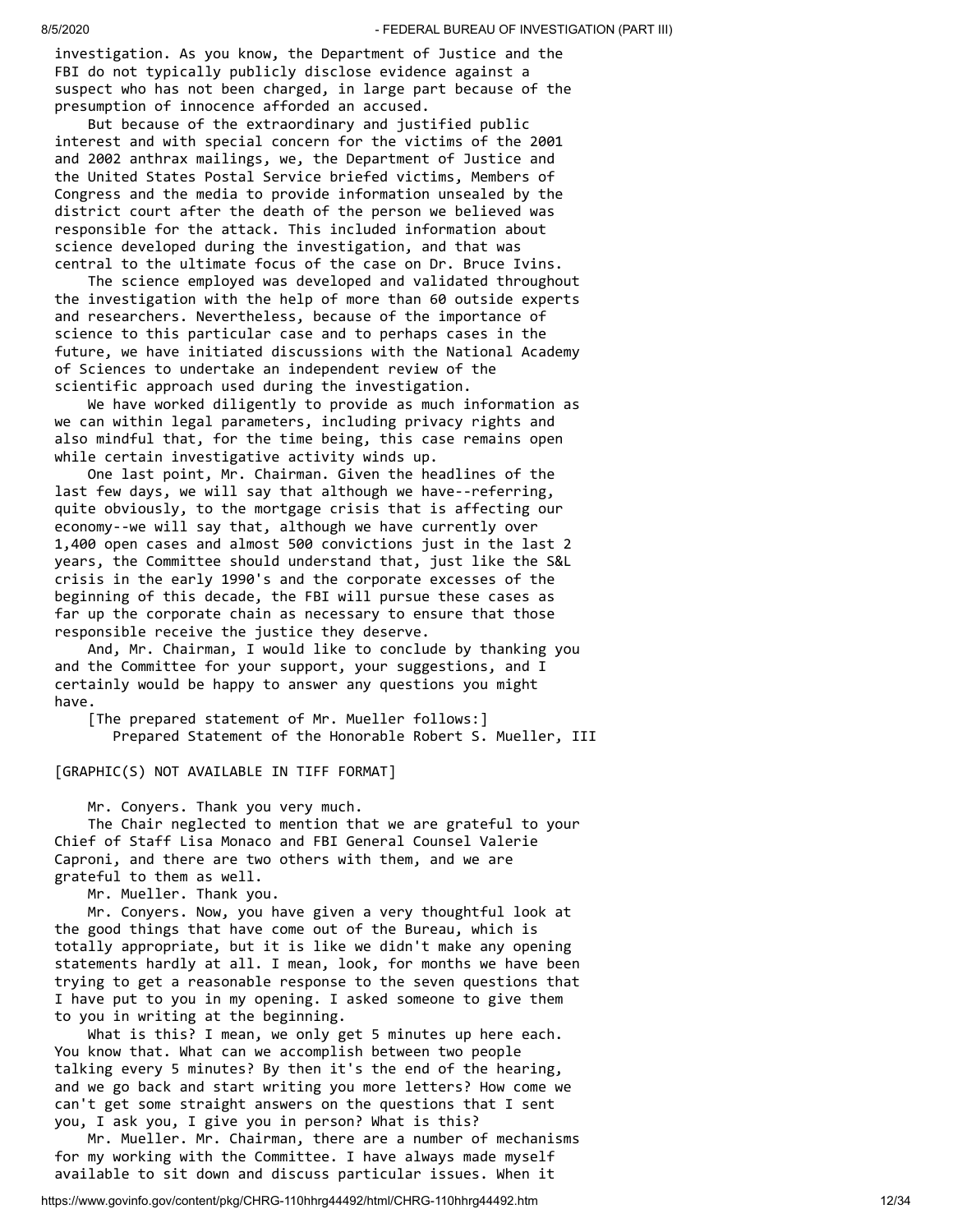investigation. As you know, the Department of Justice and the FBI do not typically publicly disclose evidence against a suspect who has not been charged, in large part because of the presumption of innocence afforded an accused.

 But because of the extraordinary and justified public interest and with special concern for the victims of the 2001 and 2002 anthrax mailings, we, the Department of Justice and the United States Postal Service briefed victims, Members of Congress and the media to provide information unsealed by the district court after the death of the person we believed was responsible for the attack. This included information about science developed during the investigation, and that was central to the ultimate focus of the case on Dr. Bruce Ivins.

 The science employed was developed and validated throughout the investigation with the help of more than 60 outside experts and researchers. Nevertheless, because of the importance of science to this particular case and to perhaps cases in the future, we have initiated discussions with the National Academy of Sciences to undertake an independent review of the scientific approach used during the investigation.

 We have worked diligently to provide as much information as we can within legal parameters, including privacy rights and also mindful that, for the time being, this case remains open while certain investigative activity winds up.

 One last point, Mr. Chairman. Given the headlines of the last few days, we will say that although we have--referring, quite obviously, to the mortgage crisis that is affecting our economy--we will say that, although we have currently over 1,400 open cases and almost 500 convictions just in the last 2 years, the Committee should understand that, just like the S&L crisis in the early 1990's and the corporate excesses of the beginning of this decade, the FBI will pursue these cases as far up the corporate chain as necessary to ensure that those responsible receive the justice they deserve.

 And, Mr. Chairman, I would like to conclude by thanking you and the Committee for your support, your suggestions, and I certainly would be happy to answer any questions you might have.

 [The prepared statement of Mr. Mueller follows:] Prepared Statement of the Honorable Robert S. Mueller, III

[GRAPHIC(S) NOT AVAILABLE IN TIFF FORMAT]

Mr. Conyers. Thank you very much.

 The Chair neglected to mention that we are grateful to your Chief of Staff Lisa Monaco and FBI General Counsel Valerie Caproni, and there are two others with them, and we are grateful to them as well.

Mr. Mueller. Thank you.

 Mr. Conyers. Now, you have given a very thoughtful look at the good things that have come out of the Bureau, which is totally appropriate, but it is like we didn't make any opening statements hardly at all. I mean, look, for months we have been trying to get a reasonable response to the seven questions that I have put to you in my opening. I asked someone to give them to you in writing at the beginning.

 What is this? I mean, we only get 5 minutes up here each. You know that. What can we accomplish between two people talking every 5 minutes? By then it's the end of the hearing, and we go back and start writing you more letters? How come we can't get some straight answers on the questions that I sent you, I ask you, I give you in person? What is this?

 Mr. Mueller. Mr. Chairman, there are a number of mechanisms for my working with the Committee. I have always made myself available to sit down and discuss particular issues. When it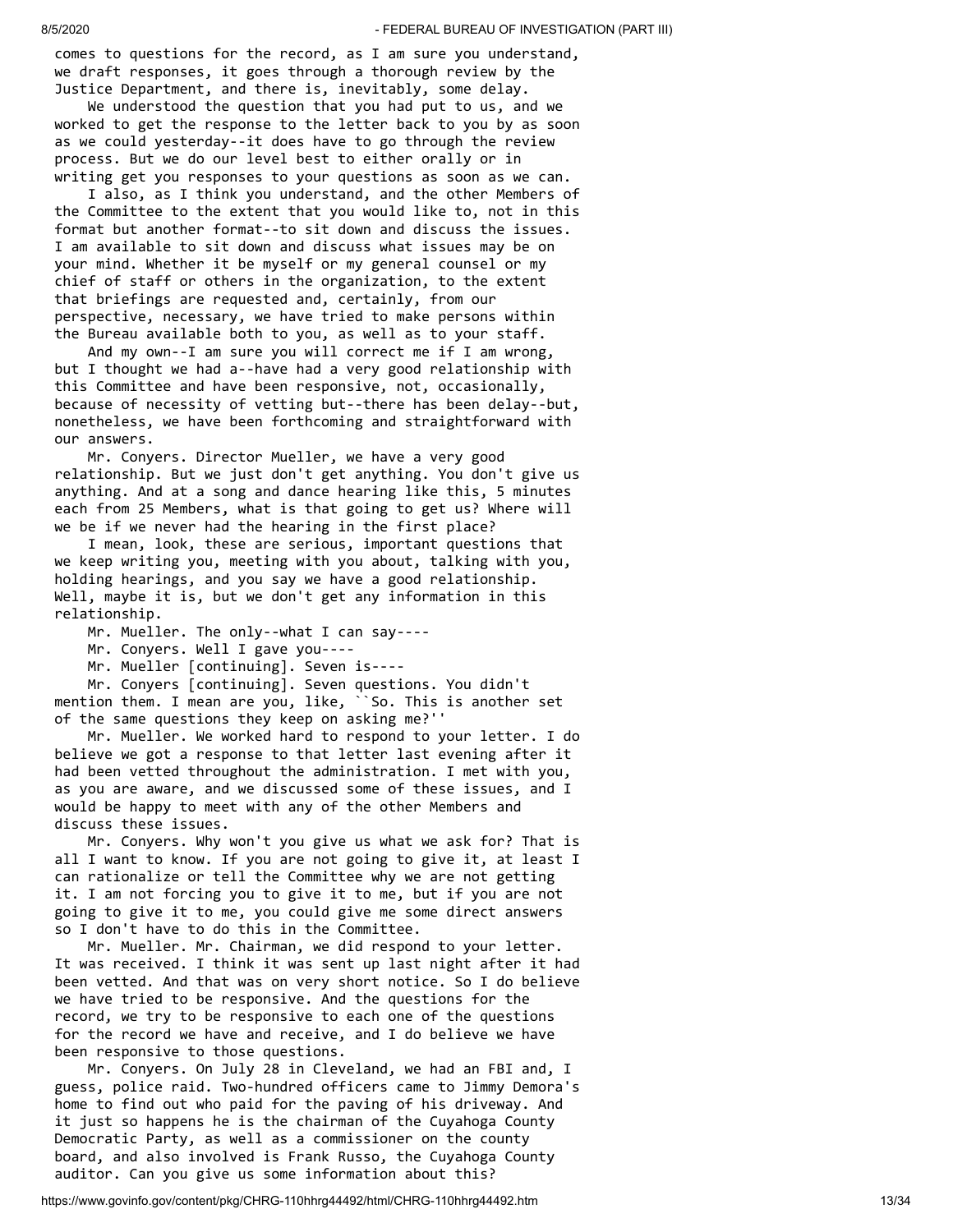comes to questions for the record, as I am sure you understand, we draft responses, it goes through a thorough review by the Justice Department, and there is, inevitably, some delay.

 We understood the question that you had put to us, and we worked to get the response to the letter back to you by as soon as we could yesterday--it does have to go through the review process. But we do our level best to either orally or in writing get you responses to your questions as soon as we can.

 I also, as I think you understand, and the other Members of the Committee to the extent that you would like to, not in this format but another format--to sit down and discuss the issues. I am available to sit down and discuss what issues may be on your mind. Whether it be myself or my general counsel or my chief of staff or others in the organization, to the extent that briefings are requested and, certainly, from our perspective, necessary, we have tried to make persons within the Bureau available both to you, as well as to your staff.

 And my own--I am sure you will correct me if I am wrong, but I thought we had a--have had a very good relationship with this Committee and have been responsive, not, occasionally, because of necessity of vetting but--there has been delay--but, nonetheless, we have been forthcoming and straightforward with our answers.

 Mr. Conyers. Director Mueller, we have a very good relationship. But we just don't get anything. You don't give us anything. And at a song and dance hearing like this, 5 minutes each from 25 Members, what is that going to get us? Where will we be if we never had the hearing in the first place?

 I mean, look, these are serious, important questions that we keep writing you, meeting with you about, talking with you, holding hearings, and you say we have a good relationship. Well, maybe it is, but we don't get any information in this relationship.

Mr. Mueller. The only--what I can say----

Mr. Conyers. Well I gave you----

Mr. Mueller [continuing]. Seven is----

 Mr. Conyers [continuing]. Seven questions. You didn't mention them. I mean are you, like, ``So. This is another set of the same questions they keep on asking me?''

 Mr. Mueller. We worked hard to respond to your letter. I do believe we got a response to that letter last evening after it had been vetted throughout the administration. I met with you, as you are aware, and we discussed some of these issues, and I would be happy to meet with any of the other Members and discuss these issues.

 Mr. Conyers. Why won't you give us what we ask for? That is all I want to know. If you are not going to give it, at least I can rationalize or tell the Committee why we are not getting it. I am not forcing you to give it to me, but if you are not going to give it to me, you could give me some direct answers so I don't have to do this in the Committee.

 Mr. Mueller. Mr. Chairman, we did respond to your letter. It was received. I think it was sent up last night after it had been vetted. And that was on very short notice. So I do believe we have tried to be responsive. And the questions for the record, we try to be responsive to each one of the questions for the record we have and receive, and I do believe we have been responsive to those questions.

 Mr. Conyers. On July 28 in Cleveland, we had an FBI and, I guess, police raid. Two-hundred officers came to Jimmy Demora's home to find out who paid for the paving of his driveway. And it just so happens he is the chairman of the Cuyahoga County Democratic Party, as well as a commissioner on the county board, and also involved is Frank Russo, the Cuyahoga County auditor. Can you give us some information about this?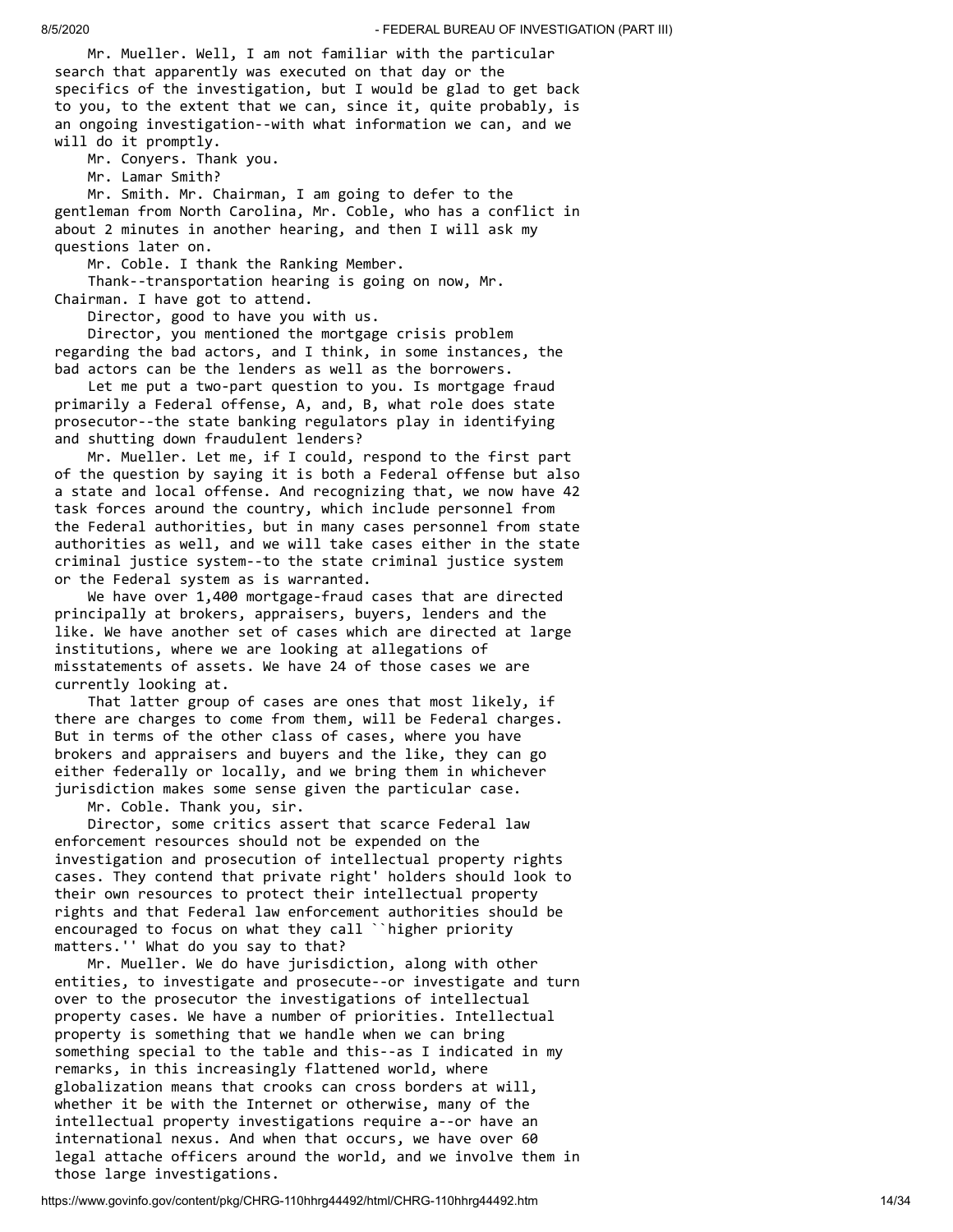Mr. Mueller. Well, I am not familiar with the particular search that apparently was executed on that day or the specifics of the investigation, but I would be glad to get back to you, to the extent that we can, since it, quite probably, is an ongoing investigation--with what information we can, and we will do it promptly.

Mr. Conyers. Thank you.

Mr. Lamar Smith?

 Mr. Smith. Mr. Chairman, I am going to defer to the gentleman from North Carolina, Mr. Coble, who has a conflict in about 2 minutes in another hearing, and then I will ask my questions later on.

 Mr. Coble. I thank the Ranking Member. Thank--transportation hearing is going on now, Mr. Chairman. I have got to attend.

Director, good to have you with us.

 Director, you mentioned the mortgage crisis problem regarding the bad actors, and I think, in some instances, the bad actors can be the lenders as well as the borrowers.

 Let me put a two-part question to you. Is mortgage fraud primarily a Federal offense, A, and, B, what role does state prosecutor--the state banking regulators play in identifying and shutting down fraudulent lenders?

 Mr. Mueller. Let me, if I could, respond to the first part of the question by saying it is both a Federal offense but also a state and local offense. And recognizing that, we now have 42 task forces around the country, which include personnel from the Federal authorities, but in many cases personnel from state authorities as well, and we will take cases either in the state criminal justice system--to the state criminal justice system or the Federal system as is warranted.

 We have over 1,400 mortgage-fraud cases that are directed principally at brokers, appraisers, buyers, lenders and the like. We have another set of cases which are directed at large institutions, where we are looking at allegations of misstatements of assets. We have 24 of those cases we are currently looking at.

 That latter group of cases are ones that most likely, if there are charges to come from them, will be Federal charges. But in terms of the other class of cases, where you have brokers and appraisers and buyers and the like, they can go either federally or locally, and we bring them in whichever jurisdiction makes some sense given the particular case.

Mr. Coble. Thank you, sir.

 Director, some critics assert that scarce Federal law enforcement resources should not be expended on the investigation and prosecution of intellectual property rights cases. They contend that private right' holders should look to their own resources to protect their intellectual property rights and that Federal law enforcement authorities should be encouraged to focus on what they call ``higher priority matters.'' What do you say to that?

 Mr. Mueller. We do have jurisdiction, along with other entities, to investigate and prosecute--or investigate and turn over to the prosecutor the investigations of intellectual property cases. We have a number of priorities. Intellectual property is something that we handle when we can bring something special to the table and this--as I indicated in my remarks, in this increasingly flattened world, where globalization means that crooks can cross borders at will, whether it be with the Internet or otherwise, many of the intellectual property investigations require a--or have an international nexus. And when that occurs, we have over 60 legal attache officers around the world, and we involve them in those large investigations.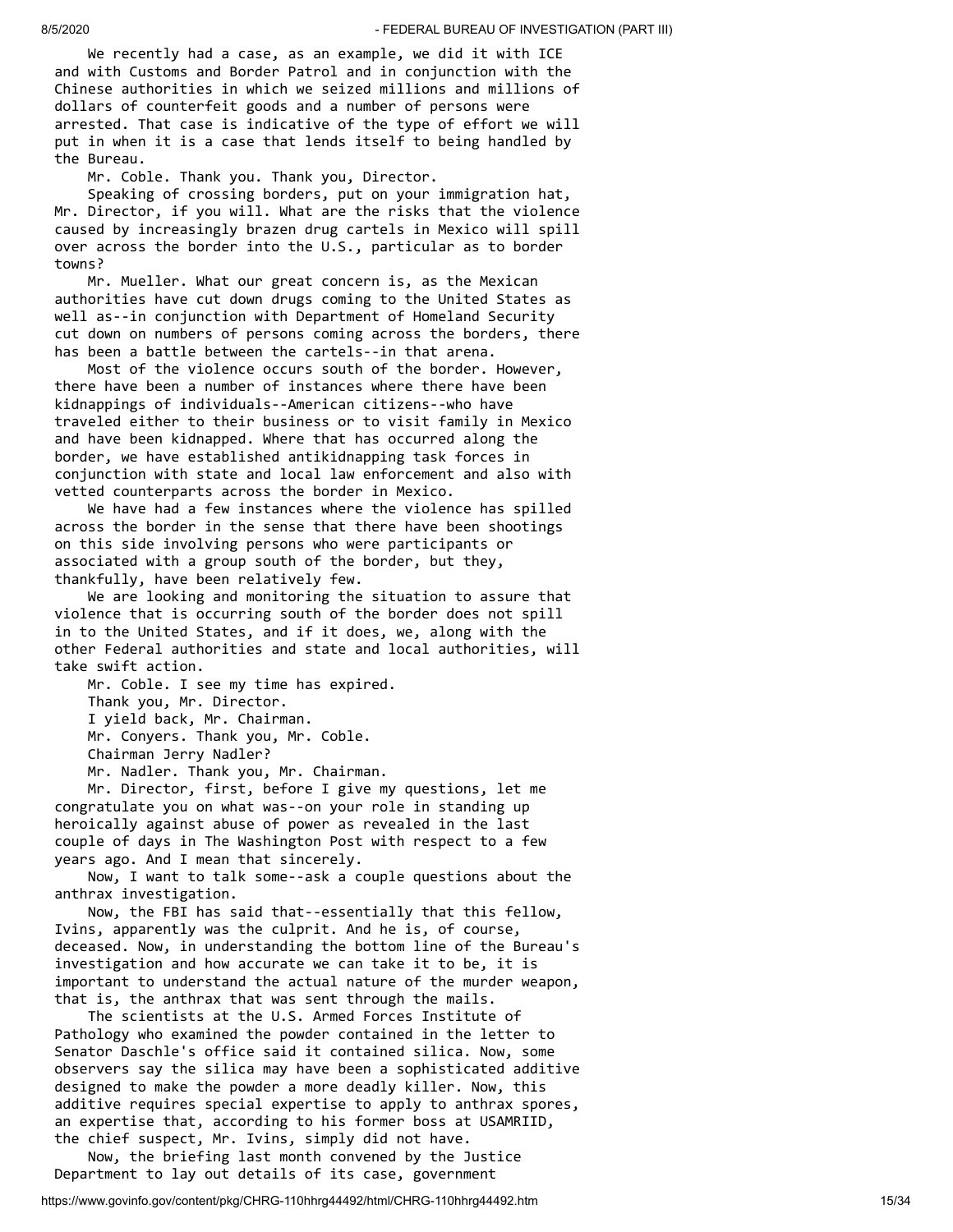We recently had a case, as an example, we did it with ICE and with Customs and Border Patrol and in conjunction with the Chinese authorities in which we seized millions and millions of dollars of counterfeit goods and a number of persons were arrested. That case is indicative of the type of effort we will put in when it is a case that lends itself to being handled by the Bureau.

Mr. Coble. Thank you. Thank you, Director.

 Speaking of crossing borders, put on your immigration hat, Mr. Director, if you will. What are the risks that the violence caused by increasingly brazen drug cartels in Mexico will spill over across the border into the U.S., particular as to border towns?

 Mr. Mueller. What our great concern is, as the Mexican authorities have cut down drugs coming to the United States as well as--in conjunction with Department of Homeland Security cut down on numbers of persons coming across the borders, there has been a battle between the cartels--in that arena.

 Most of the violence occurs south of the border. However, there have been a number of instances where there have been kidnappings of individuals--American citizens--who have traveled either to their business or to visit family in Mexico and have been kidnapped. Where that has occurred along the border, we have established antikidnapping task forces in conjunction with state and local law enforcement and also with vetted counterparts across the border in Mexico.

 We have had a few instances where the violence has spilled across the border in the sense that there have been shootings on this side involving persons who were participants or associated with a group south of the border, but they, thankfully, have been relatively few.

 We are looking and monitoring the situation to assure that violence that is occurring south of the border does not spill in to the United States, and if it does, we, along with the other Federal authorities and state and local authorities, will take swift action.

 Mr. Coble. I see my time has expired. Thank you, Mr. Director. I yield back, Mr. Chairman. Mr. Conyers. Thank you, Mr. Coble. Chairman Jerry Nadler?

Mr. Nadler. Thank you, Mr. Chairman.

 Mr. Director, first, before I give my questions, let me congratulate you on what was--on your role in standing up heroically against abuse of power as revealed in the last couple of days in The Washington Post with respect to a few years ago. And I mean that sincerely.

 Now, I want to talk some--ask a couple questions about the anthrax investigation.

 Now, the FBI has said that--essentially that this fellow, Ivins, apparently was the culprit. And he is, of course, deceased. Now, in understanding the bottom line of the Bureau's investigation and how accurate we can take it to be, it is important to understand the actual nature of the murder weapon, that is, the anthrax that was sent through the mails.

 The scientists at the U.S. Armed Forces Institute of Pathology who examined the powder contained in the letter to Senator Daschle's office said it contained silica. Now, some observers say the silica may have been a sophisticated additive designed to make the powder a more deadly killer. Now, this additive requires special expertise to apply to anthrax spores, an expertise that, according to his former boss at USAMRIID, the chief suspect, Mr. Ivins, simply did not have.

 Now, the briefing last month convened by the Justice Department to lay out details of its case, government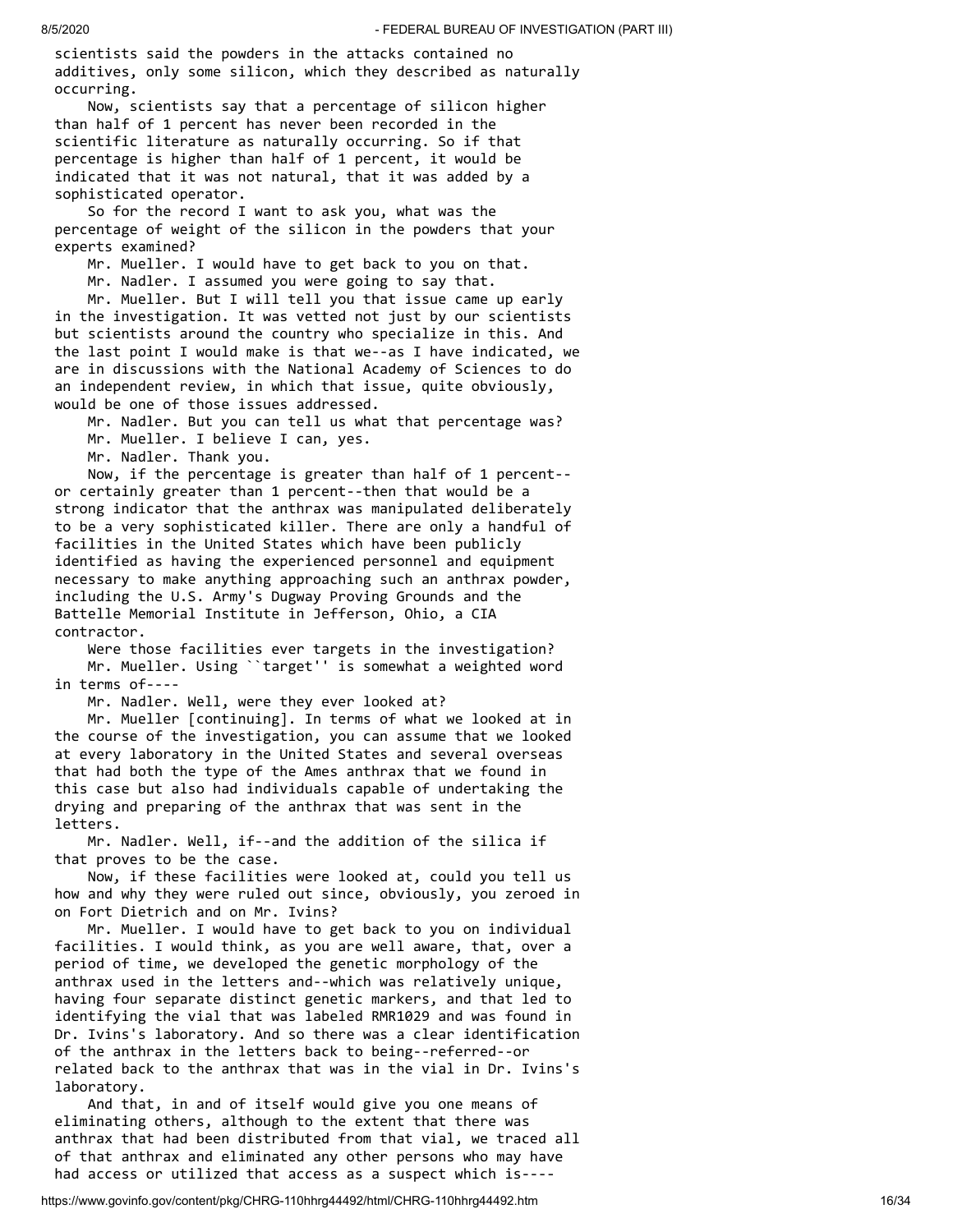scientists said the powders in the attacks contained no additives, only some silicon, which they described as naturally occurring.

 Now, scientists say that a percentage of silicon higher than half of 1 percent has never been recorded in the scientific literature as naturally occurring. So if that percentage is higher than half of 1 percent, it would be indicated that it was not natural, that it was added by a sophisticated operator.

 So for the record I want to ask you, what was the percentage of weight of the silicon in the powders that your experts examined?

Mr. Mueller. I would have to get back to you on that.

Mr. Nadler. I assumed you were going to say that.

 Mr. Mueller. But I will tell you that issue came up early in the investigation. It was vetted not just by our scientists but scientists around the country who specialize in this. And the last point I would make is that we--as I have indicated, we are in discussions with the National Academy of Sciences to do an independent review, in which that issue, quite obviously, would be one of those issues addressed.

 Mr. Nadler. But you can tell us what that percentage was? Mr. Mueller. I believe I can, yes.

Mr. Nadler. Thank you.

 Now, if the percentage is greater than half of 1 percent- or certainly greater than 1 percent--then that would be a strong indicator that the anthrax was manipulated deliberately to be a very sophisticated killer. There are only a handful of facilities in the United States which have been publicly identified as having the experienced personnel and equipment necessary to make anything approaching such an anthrax powder, including the U.S. Army's Dugway Proving Grounds and the Battelle Memorial Institute in Jefferson, Ohio, a CIA contractor.

 Were those facilities ever targets in the investigation? Mr. Mueller. Using ``target'' is somewhat a weighted word in terms of----

Mr. Nadler. Well, were they ever looked at?

 Mr. Mueller [continuing]. In terms of what we looked at in the course of the investigation, you can assume that we looked at every laboratory in the United States and several overseas that had both the type of the Ames anthrax that we found in this case but also had individuals capable of undertaking the drying and preparing of the anthrax that was sent in the letters.

 Mr. Nadler. Well, if--and the addition of the silica if that proves to be the case.

 Now, if these facilities were looked at, could you tell us how and why they were ruled out since, obviously, you zeroed in on Fort Dietrich and on Mr. Ivins?

 Mr. Mueller. I would have to get back to you on individual facilities. I would think, as you are well aware, that, over a period of time, we developed the genetic morphology of the anthrax used in the letters and--which was relatively unique, having four separate distinct genetic markers, and that led to identifying the vial that was labeled RMR1029 and was found in Dr. Ivins's laboratory. And so there was a clear identification of the anthrax in the letters back to being--referred--or related back to the anthrax that was in the vial in Dr. Ivins's laboratory.

 And that, in and of itself would give you one means of eliminating others, although to the extent that there was anthrax that had been distributed from that vial, we traced all of that anthrax and eliminated any other persons who may have had access or utilized that access as a suspect which is----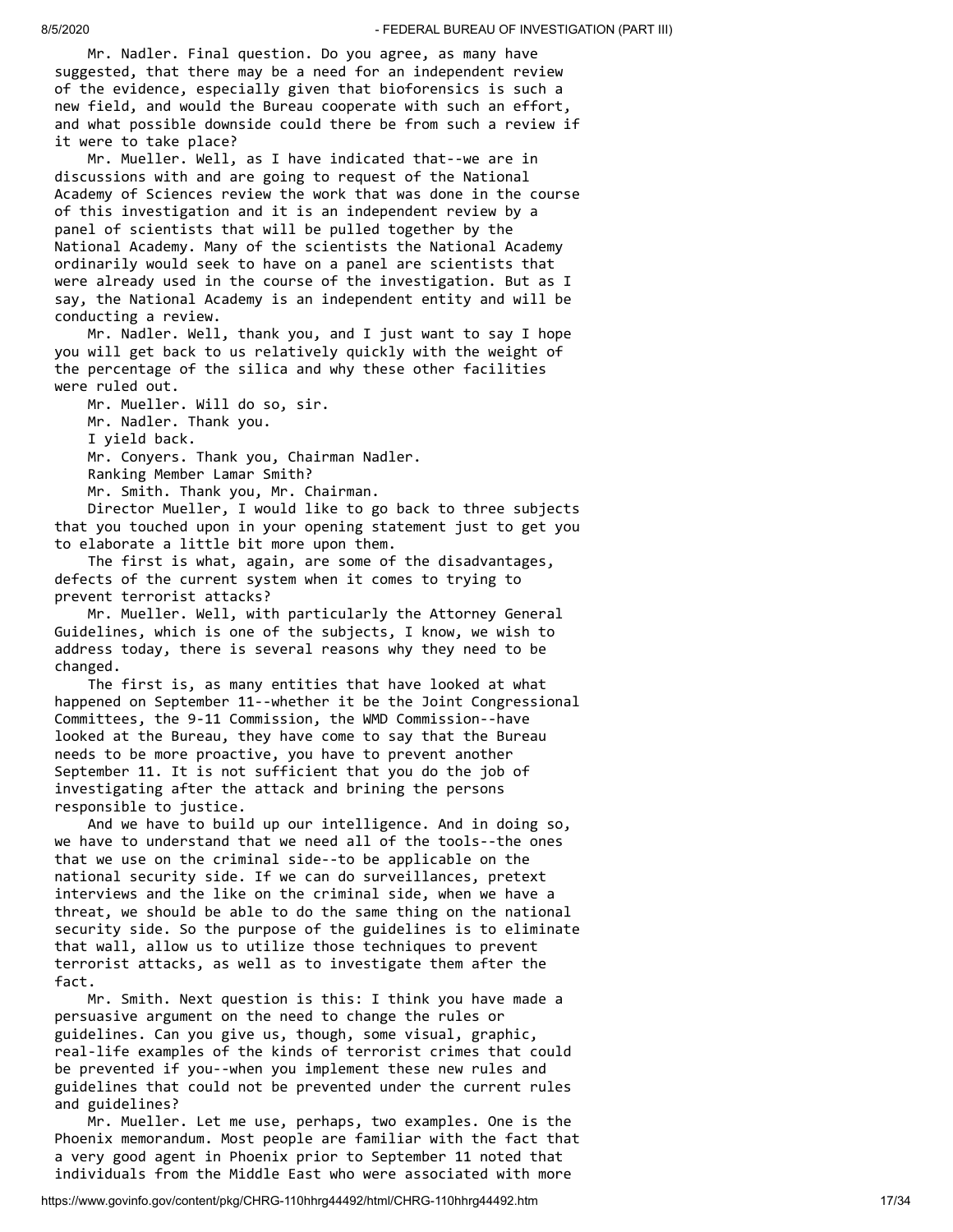Mr. Nadler. Final question. Do you agree, as many have suggested, that there may be a need for an independent review of the evidence, especially given that bioforensics is such a new field, and would the Bureau cooperate with such an effort, and what possible downside could there be from such a review if it were to take place?

 Mr. Mueller. Well, as I have indicated that--we are in discussions with and are going to request of the National Academy of Sciences review the work that was done in the course of this investigation and it is an independent review by a panel of scientists that will be pulled together by the National Academy. Many of the scientists the National Academy ordinarily would seek to have on a panel are scientists that were already used in the course of the investigation. But as I say, the National Academy is an independent entity and will be conducting a review.

 Mr. Nadler. Well, thank you, and I just want to say I hope you will get back to us relatively quickly with the weight of the percentage of the silica and why these other facilities were ruled out.

Mr. Mueller. Will do so, sir.

Mr. Nadler. Thank you.

I yield back.

Mr. Conyers. Thank you, Chairman Nadler.

Ranking Member Lamar Smith?

Mr. Smith. Thank you, Mr. Chairman.

 Director Mueller, I would like to go back to three subjects that you touched upon in your opening statement just to get you to elaborate a little bit more upon them.

 The first is what, again, are some of the disadvantages, defects of the current system when it comes to trying to prevent terrorist attacks?

 Mr. Mueller. Well, with particularly the Attorney General Guidelines, which is one of the subjects, I know, we wish to address today, there is several reasons why they need to be changed.

 The first is, as many entities that have looked at what happened on September 11--whether it be the Joint Congressional Committees, the 9-11 Commission, the WMD Commission--have looked at the Bureau, they have come to say that the Bureau needs to be more proactive, you have to prevent another September 11. It is not sufficient that you do the job of investigating after the attack and brining the persons responsible to justice.

 And we have to build up our intelligence. And in doing so, we have to understand that we need all of the tools--the ones that we use on the criminal side--to be applicable on the national security side. If we can do surveillances, pretext interviews and the like on the criminal side, when we have a threat, we should be able to do the same thing on the national security side. So the purpose of the guidelines is to eliminate that wall, allow us to utilize those techniques to prevent terrorist attacks, as well as to investigate them after the fact.

 Mr. Smith. Next question is this: I think you have made a persuasive argument on the need to change the rules or guidelines. Can you give us, though, some visual, graphic, real-life examples of the kinds of terrorist crimes that could be prevented if you--when you implement these new rules and guidelines that could not be prevented under the current rules and guidelines?

 Mr. Mueller. Let me use, perhaps, two examples. One is the Phoenix memorandum. Most people are familiar with the fact that a very good agent in Phoenix prior to September 11 noted that individuals from the Middle East who were associated with more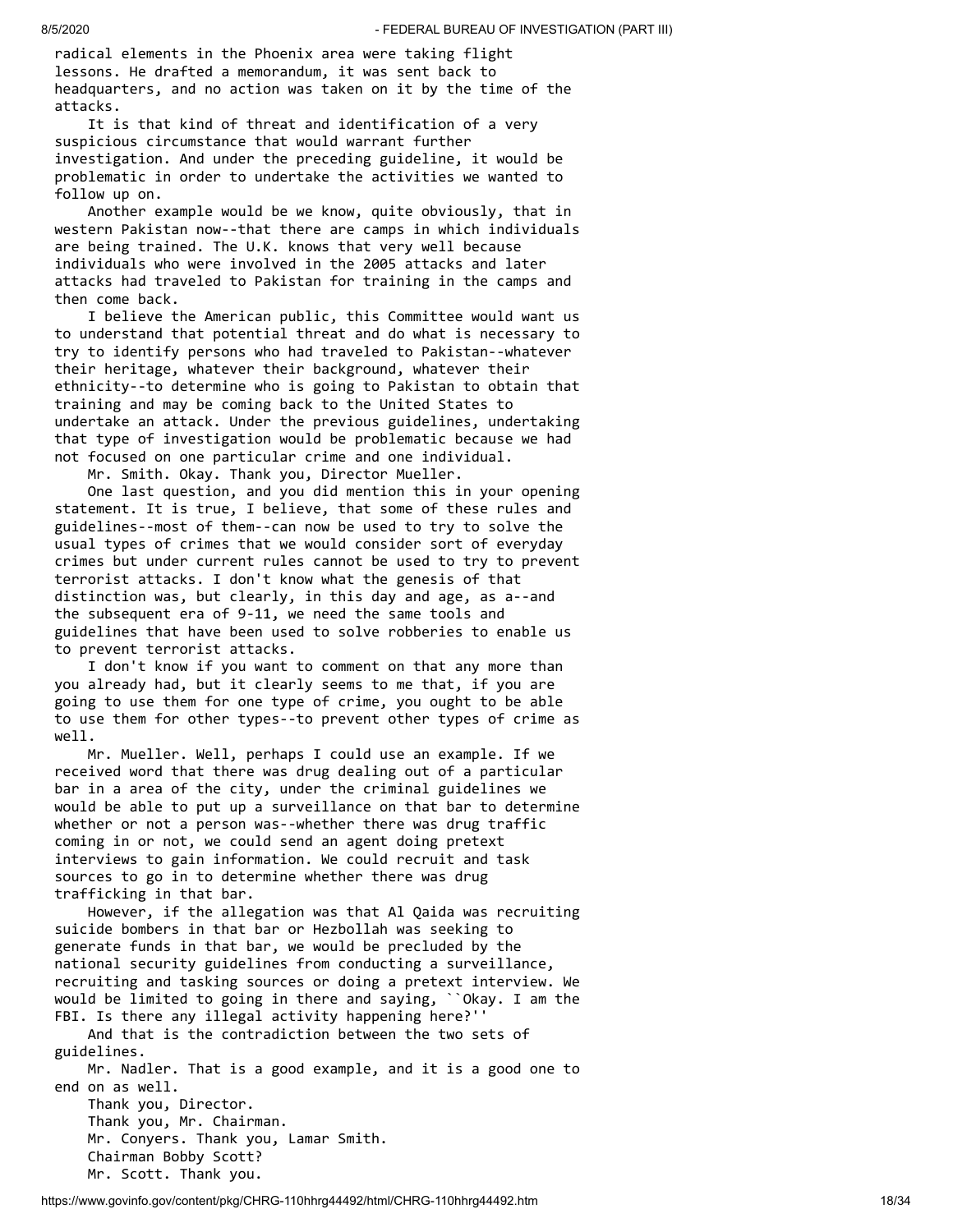radical elements in the Phoenix area were taking flight lessons. He drafted a memorandum, it was sent back to headquarters, and no action was taken on it by the time of the attacks.

 It is that kind of threat and identification of a very suspicious circumstance that would warrant further investigation. And under the preceding guideline, it would be problematic in order to undertake the activities we wanted to follow up on.

 Another example would be we know, quite obviously, that in western Pakistan now--that there are camps in which individuals are being trained. The U.K. knows that very well because individuals who were involved in the 2005 attacks and later attacks had traveled to Pakistan for training in the camps and then come back.

 I believe the American public, this Committee would want us to understand that potential threat and do what is necessary to try to identify persons who had traveled to Pakistan--whatever their heritage, whatever their background, whatever their ethnicity--to determine who is going to Pakistan to obtain that training and may be coming back to the United States to undertake an attack. Under the previous guidelines, undertaking that type of investigation would be problematic because we had not focused on one particular crime and one individual.

Mr. Smith. Okay. Thank you, Director Mueller.

 One last question, and you did mention this in your opening statement. It is true, I believe, that some of these rules and guidelines--most of them--can now be used to try to solve the usual types of crimes that we would consider sort of everyday crimes but under current rules cannot be used to try to prevent terrorist attacks. I don't know what the genesis of that distinction was, but clearly, in this day and age, as a--and the subsequent era of 9-11, we need the same tools and guidelines that have been used to solve robberies to enable us to prevent terrorist attacks.

 I don't know if you want to comment on that any more than you already had, but it clearly seems to me that, if you are going to use them for one type of crime, you ought to be able to use them for other types--to prevent other types of crime as well.

 Mr. Mueller. Well, perhaps I could use an example. If we received word that there was drug dealing out of a particular bar in a area of the city, under the criminal guidelines we would be able to put up a surveillance on that bar to determine whether or not a person was--whether there was drug traffic coming in or not, we could send an agent doing pretext interviews to gain information. We could recruit and task sources to go in to determine whether there was drug trafficking in that bar.

 However, if the allegation was that Al Qaida was recruiting suicide bombers in that bar or Hezbollah was seeking to generate funds in that bar, we would be precluded by the national security guidelines from conducting a surveillance, recruiting and tasking sources or doing a pretext interview. We would be limited to going in there and saying, ``Okay. I am the FBI. Is there any illegal activity happening here?''

 And that is the contradiction between the two sets of guidelines.

 Mr. Nadler. That is a good example, and it is a good one to end on as well. Thank you, Director.

 Thank you, Mr. Chairman. Mr. Conyers. Thank you, Lamar Smith. Chairman Bobby Scott? Mr. Scott. Thank you.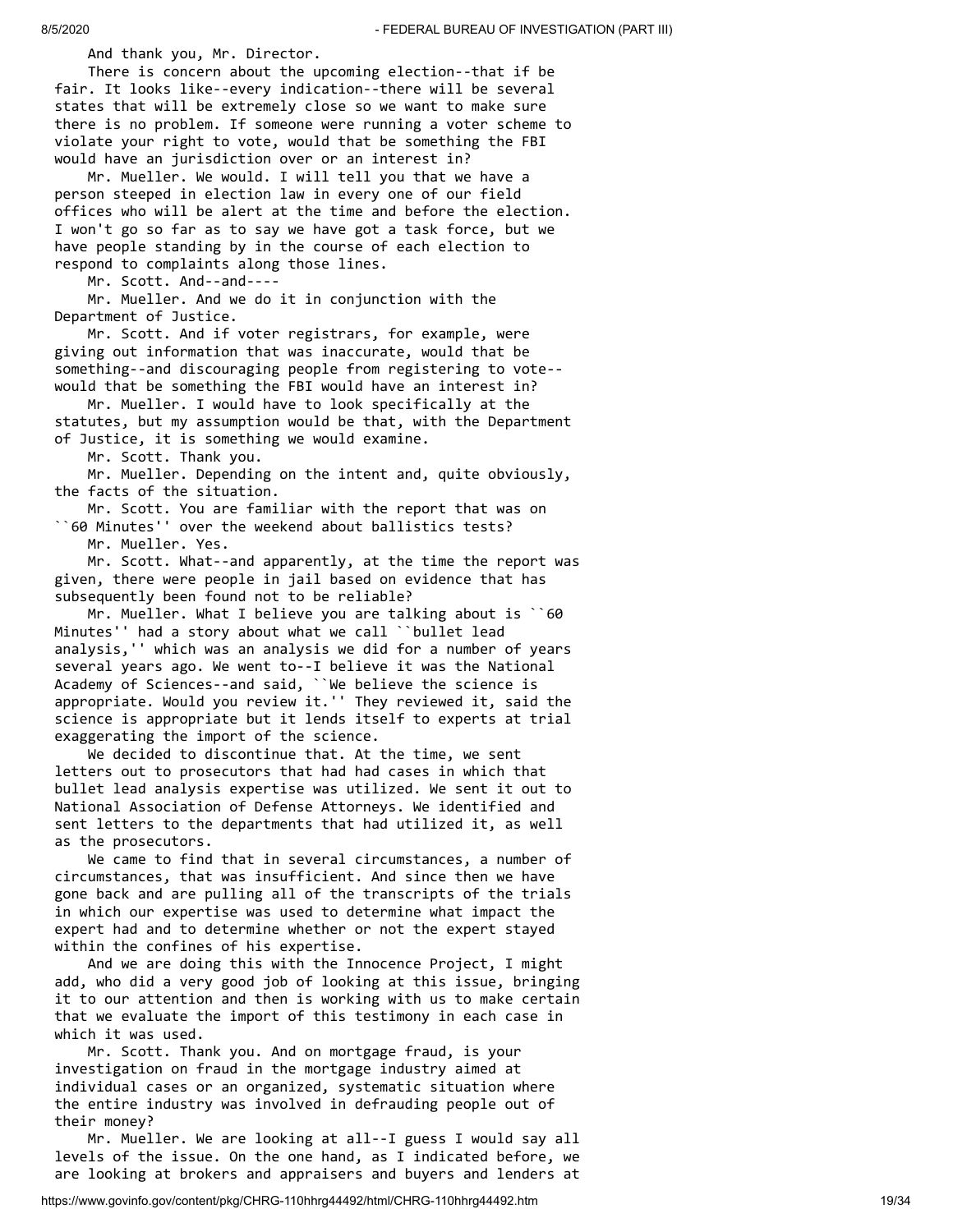And thank you, Mr. Director.

 There is concern about the upcoming election--that if be fair. It looks like--every indication--there will be several states that will be extremely close so we want to make sure there is no problem. If someone were running a voter scheme to violate your right to vote, would that be something the FBI would have an jurisdiction over or an interest in?

 Mr. Mueller. We would. I will tell you that we have a person steeped in election law in every one of our field offices who will be alert at the time and before the election. I won't go so far as to say we have got a task force, but we have people standing by in the course of each election to respond to complaints along those lines.

Mr. Scott. And--and----

 Mr. Mueller. And we do it in conjunction with the Department of Justice.

 Mr. Scott. And if voter registrars, for example, were giving out information that was inaccurate, would that be something--and discouraging people from registering to vote- would that be something the FBI would have an interest in?

 Mr. Mueller. I would have to look specifically at the statutes, but my assumption would be that, with the Department of Justice, it is something we would examine.

Mr. Scott. Thank you.

 Mr. Mueller. Depending on the intent and, quite obviously, the facts of the situation.

 Mr. Scott. You are familiar with the report that was on ``60 Minutes'' over the weekend about ballistics tests?

Mr. Mueller. Yes.

 Mr. Scott. What--and apparently, at the time the report was given, there were people in jail based on evidence that has subsequently been found not to be reliable?

 Mr. Mueller. What I believe you are talking about is ``60 Minutes'' had a story about what we call ``bullet lead analysis,'' which was an analysis we did for a number of years several years ago. We went to--I believe it was the National Academy of Sciences--and said, ``We believe the science is appropriate. Would you review it.'' They reviewed it, said the science is appropriate but it lends itself to experts at trial exaggerating the import of the science.

 We decided to discontinue that. At the time, we sent letters out to prosecutors that had had cases in which that bullet lead analysis expertise was utilized. We sent it out to National Association of Defense Attorneys. We identified and sent letters to the departments that had utilized it, as well as the prosecutors.

 We came to find that in several circumstances, a number of circumstances, that was insufficient. And since then we have gone back and are pulling all of the transcripts of the trials in which our expertise was used to determine what impact the expert had and to determine whether or not the expert stayed within the confines of his expertise.

 And we are doing this with the Innocence Project, I might add, who did a very good job of looking at this issue, bringing it to our attention and then is working with us to make certain that we evaluate the import of this testimony in each case in which it was used.

 Mr. Scott. Thank you. And on mortgage fraud, is your investigation on fraud in the mortgage industry aimed at individual cases or an organized, systematic situation where the entire industry was involved in defrauding people out of their money?

 Mr. Mueller. We are looking at all--I guess I would say all levels of the issue. On the one hand, as I indicated before, we are looking at brokers and appraisers and buyers and lenders at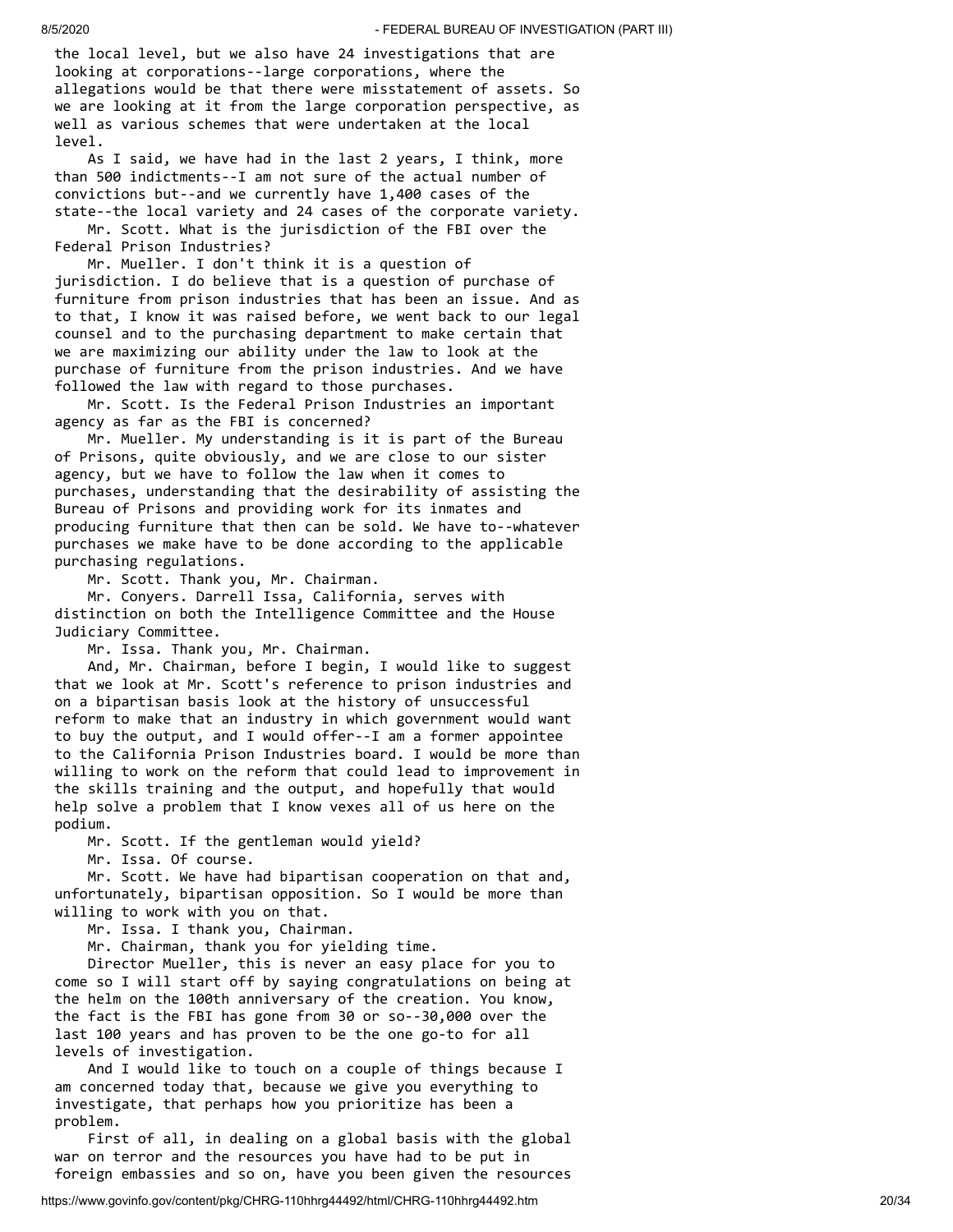the local level, but we also have 24 investigations that are looking at corporations--large corporations, where the allegations would be that there were misstatement of assets. So we are looking at it from the large corporation perspective, as well as various schemes that were undertaken at the local level.

 As I said, we have had in the last 2 years, I think, more than 500 indictments--I am not sure of the actual number of convictions but--and we currently have 1,400 cases of the state--the local variety and 24 cases of the corporate variety.

 Mr. Scott. What is the jurisdiction of the FBI over the Federal Prison Industries?

 Mr. Mueller. I don't think it is a question of jurisdiction. I do believe that is a question of purchase of furniture from prison industries that has been an issue. And as to that, I know it was raised before, we went back to our legal counsel and to the purchasing department to make certain that we are maximizing our ability under the law to look at the purchase of furniture from the prison industries. And we have followed the law with regard to those purchases.

 Mr. Scott. Is the Federal Prison Industries an important agency as far as the FBI is concerned?

 Mr. Mueller. My understanding is it is part of the Bureau of Prisons, quite obviously, and we are close to our sister agency, but we have to follow the law when it comes to purchases, understanding that the desirability of assisting the Bureau of Prisons and providing work for its inmates and producing furniture that then can be sold. We have to--whatever purchases we make have to be done according to the applicable purchasing regulations.

Mr. Scott. Thank you, Mr. Chairman.

 Mr. Conyers. Darrell Issa, California, serves with distinction on both the Intelligence Committee and the House Judiciary Committee.

Mr. Issa. Thank you, Mr. Chairman.

 And, Mr. Chairman, before I begin, I would like to suggest that we look at Mr. Scott's reference to prison industries and on a bipartisan basis look at the history of unsuccessful reform to make that an industry in which government would want to buy the output, and I would offer--I am a former appointee to the California Prison Industries board. I would be more than willing to work on the reform that could lead to improvement in the skills training and the output, and hopefully that would help solve a problem that I know vexes all of us here on the podium.

Mr. Scott. If the gentleman would yield?

Mr. Issa. Of course.

 Mr. Scott. We have had bipartisan cooperation on that and, unfortunately, bipartisan opposition. So I would be more than willing to work with you on that.

Mr. Issa. I thank you, Chairman.

Mr. Chairman, thank you for yielding time.

 Director Mueller, this is never an easy place for you to come so I will start off by saying congratulations on being at the helm on the 100th anniversary of the creation. You know, the fact is the FBI has gone from 30 or so--30,000 over the last 100 years and has proven to be the one go-to for all levels of investigation.

 And I would like to touch on a couple of things because I am concerned today that, because we give you everything to investigate, that perhaps how you prioritize has been a problem.

 First of all, in dealing on a global basis with the global war on terror and the resources you have had to be put in foreign embassies and so on, have you been given the resources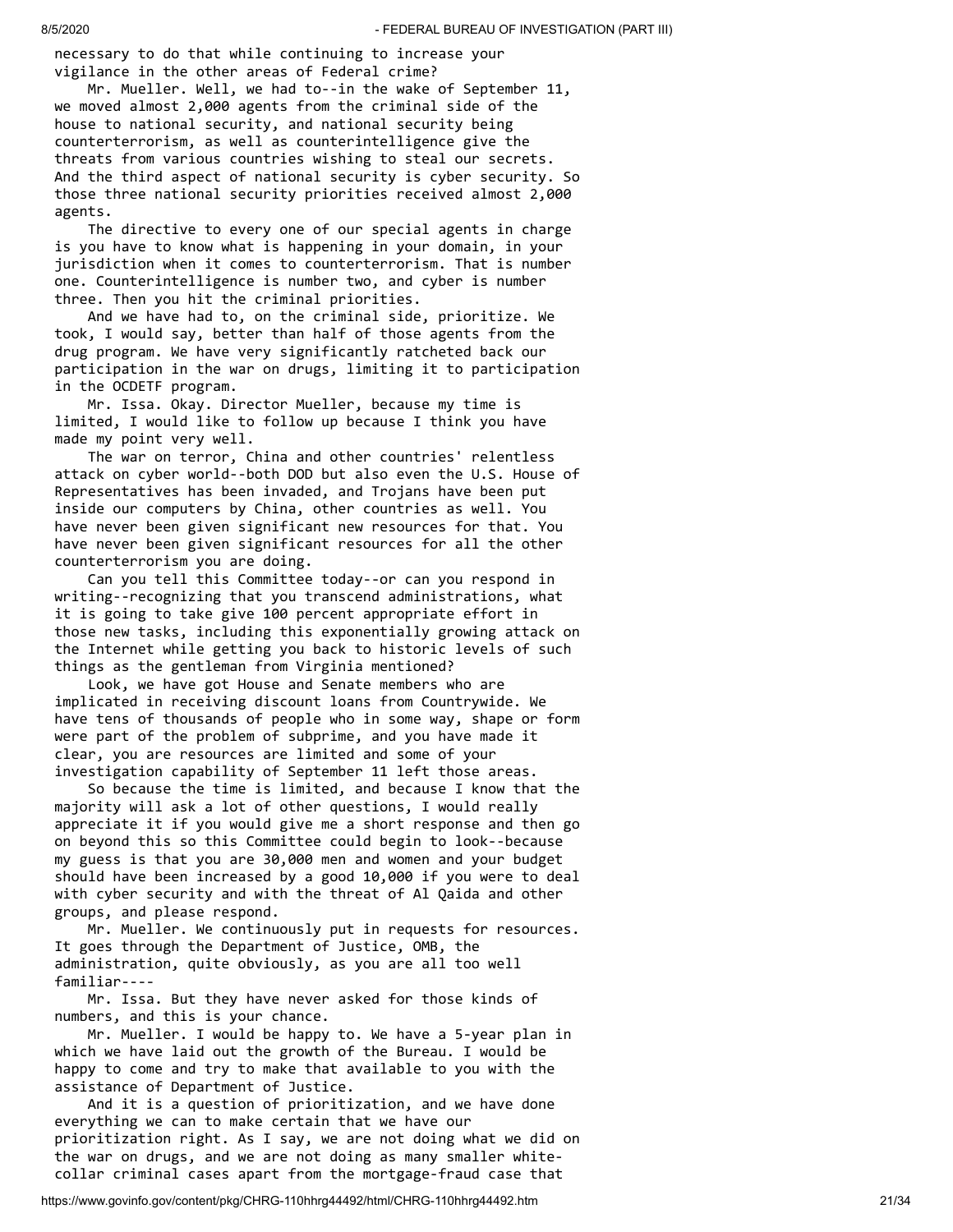necessary to do that while continuing to increase your vigilance in the other areas of Federal crime?

 Mr. Mueller. Well, we had to--in the wake of September 11, we moved almost 2,000 agents from the criminal side of the house to national security, and national security being counterterrorism, as well as counterintelligence give the threats from various countries wishing to steal our secrets. And the third aspect of national security is cyber security. So those three national security priorities received almost 2,000 agents.

 The directive to every one of our special agents in charge is you have to know what is happening in your domain, in your jurisdiction when it comes to counterterrorism. That is number one. Counterintelligence is number two, and cyber is number three. Then you hit the criminal priorities.

 And we have had to, on the criminal side, prioritize. We took, I would say, better than half of those agents from the drug program. We have very significantly ratcheted back our participation in the war on drugs, limiting it to participation in the OCDETF program.

 Mr. Issa. Okay. Director Mueller, because my time is limited, I would like to follow up because I think you have made my point very well.

 The war on terror, China and other countries' relentless attack on cyber world--both DOD but also even the U.S. House of Representatives has been invaded, and Trojans have been put inside our computers by China, other countries as well. You have never been given significant new resources for that. You have never been given significant resources for all the other counterterrorism you are doing.

 Can you tell this Committee today--or can you respond in writing--recognizing that you transcend administrations, what it is going to take give 100 percent appropriate effort in those new tasks, including this exponentially growing attack on the Internet while getting you back to historic levels of such things as the gentleman from Virginia mentioned?

 Look, we have got House and Senate members who are implicated in receiving discount loans from Countrywide. We have tens of thousands of people who in some way, shape or form were part of the problem of subprime, and you have made it clear, you are resources are limited and some of your investigation capability of September 11 left those areas.

 So because the time is limited, and because I know that the majority will ask a lot of other questions, I would really appreciate it if you would give me a short response and then go on beyond this so this Committee could begin to look--because my guess is that you are 30,000 men and women and your budget should have been increased by a good 10,000 if you were to deal with cyber security and with the threat of Al Qaida and other groups, and please respond.

 Mr. Mueller. We continuously put in requests for resources. It goes through the Department of Justice, OMB, the administration, quite obviously, as you are all too well familiar----

 Mr. Issa. But they have never asked for those kinds of numbers, and this is your chance.

 Mr. Mueller. I would be happy to. We have a 5-year plan in which we have laid out the growth of the Bureau. I would be happy to come and try to make that available to you with the assistance of Department of Justice.

 And it is a question of prioritization, and we have done everything we can to make certain that we have our prioritization right. As I say, we are not doing what we did on the war on drugs, and we are not doing as many smaller whitecollar criminal cases apart from the mortgage-fraud case that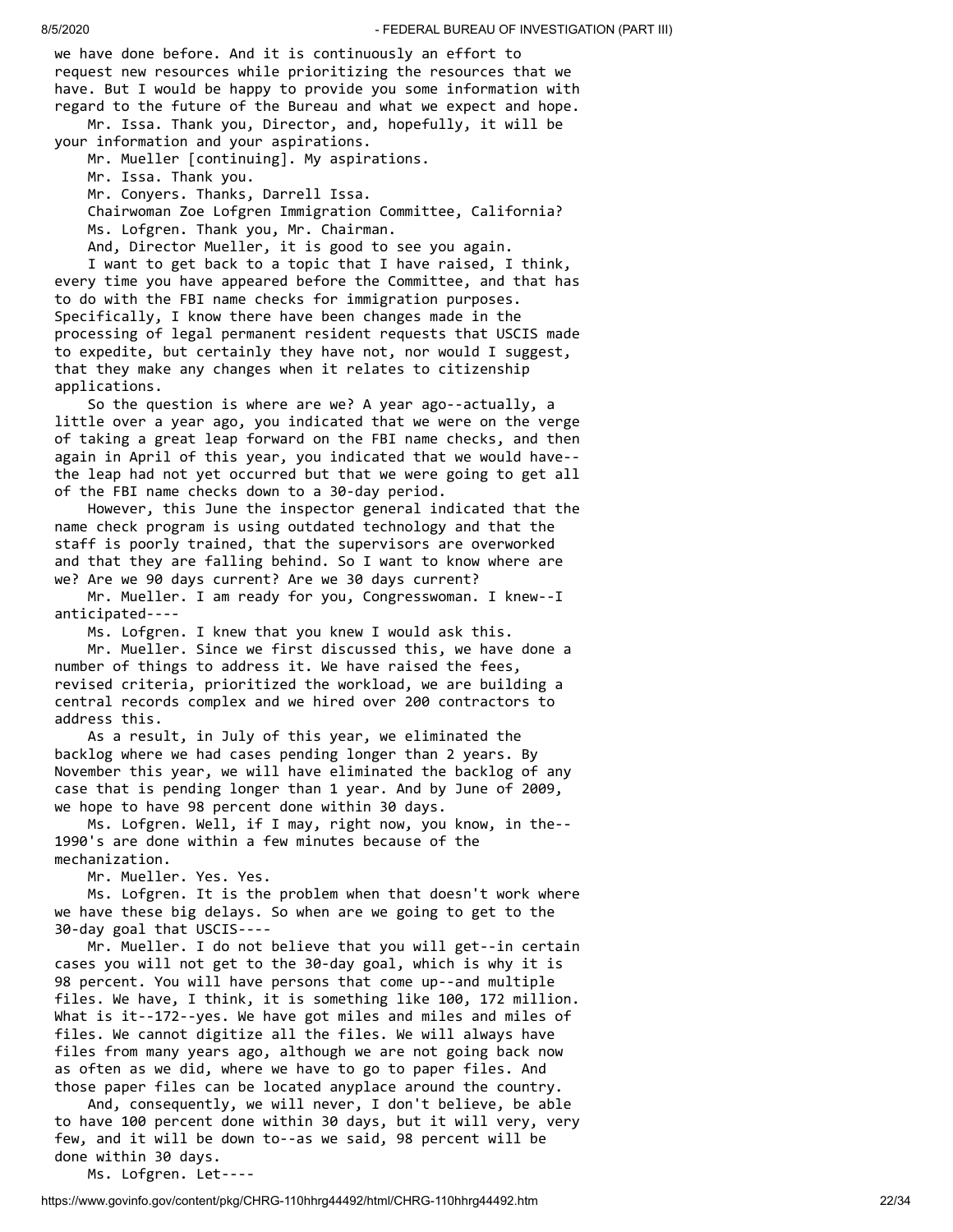we have done before. And it is continuously an effort to request new resources while prioritizing the resources that we have. But I would be happy to provide you some information with regard to the future of the Bureau and what we expect and hope. Mr. Issa. Thank you, Director, and, hopefully, it will be

your information and your aspirations.

Mr. Mueller [continuing]. My aspirations.

Mr. Issa. Thank you.

Mr. Conyers. Thanks, Darrell Issa.

 Chairwoman Zoe Lofgren Immigration Committee, California? Ms. Lofgren. Thank you, Mr. Chairman.

And, Director Mueller, it is good to see you again.

 I want to get back to a topic that I have raised, I think, every time you have appeared before the Committee, and that has to do with the FBI name checks for immigration purposes. Specifically, I know there have been changes made in the processing of legal permanent resident requests that USCIS made to expedite, but certainly they have not, nor would I suggest, that they make any changes when it relates to citizenship applications.

 So the question is where are we? A year ago--actually, a little over a year ago, you indicated that we were on the verge of taking a great leap forward on the FBI name checks, and then again in April of this year, you indicated that we would have- the leap had not yet occurred but that we were going to get all of the FBI name checks down to a 30-day period.

 However, this June the inspector general indicated that the name check program is using outdated technology and that the staff is poorly trained, that the supervisors are overworked and that they are falling behind. So I want to know where are we? Are we 90 days current? Are we 30 days current?

 Mr. Mueller. I am ready for you, Congresswoman. I knew--I anticipated----

Ms. Lofgren. I knew that you knew I would ask this.

 Mr. Mueller. Since we first discussed this, we have done a number of things to address it. We have raised the fees, revised criteria, prioritized the workload, we are building a central records complex and we hired over 200 contractors to address this.

 As a result, in July of this year, we eliminated the backlog where we had cases pending longer than 2 years. By November this year, we will have eliminated the backlog of any case that is pending longer than 1 year. And by June of 2009, we hope to have 98 percent done within 30 days.

 Ms. Lofgren. Well, if I may, right now, you know, in the-- 1990's are done within a few minutes because of the mechanization.

Mr. Mueller. Yes. Yes.

 Ms. Lofgren. It is the problem when that doesn't work where we have these big delays. So when are we going to get to the 30-day goal that USCIS----

 Mr. Mueller. I do not believe that you will get--in certain cases you will not get to the 30-day goal, which is why it is 98 percent. You will have persons that come up--and multiple files. We have, I think, it is something like 100, 172 million. What is it--172--yes. We have got miles and miles and miles of files. We cannot digitize all the files. We will always have files from many years ago, although we are not going back now as often as we did, where we have to go to paper files. And those paper files can be located anyplace around the country.

 And, consequently, we will never, I don't believe, be able to have 100 percent done within 30 days, but it will very, very few, and it will be down to--as we said, 98 percent will be done within 30 days.

Ms. Lofgren. Let----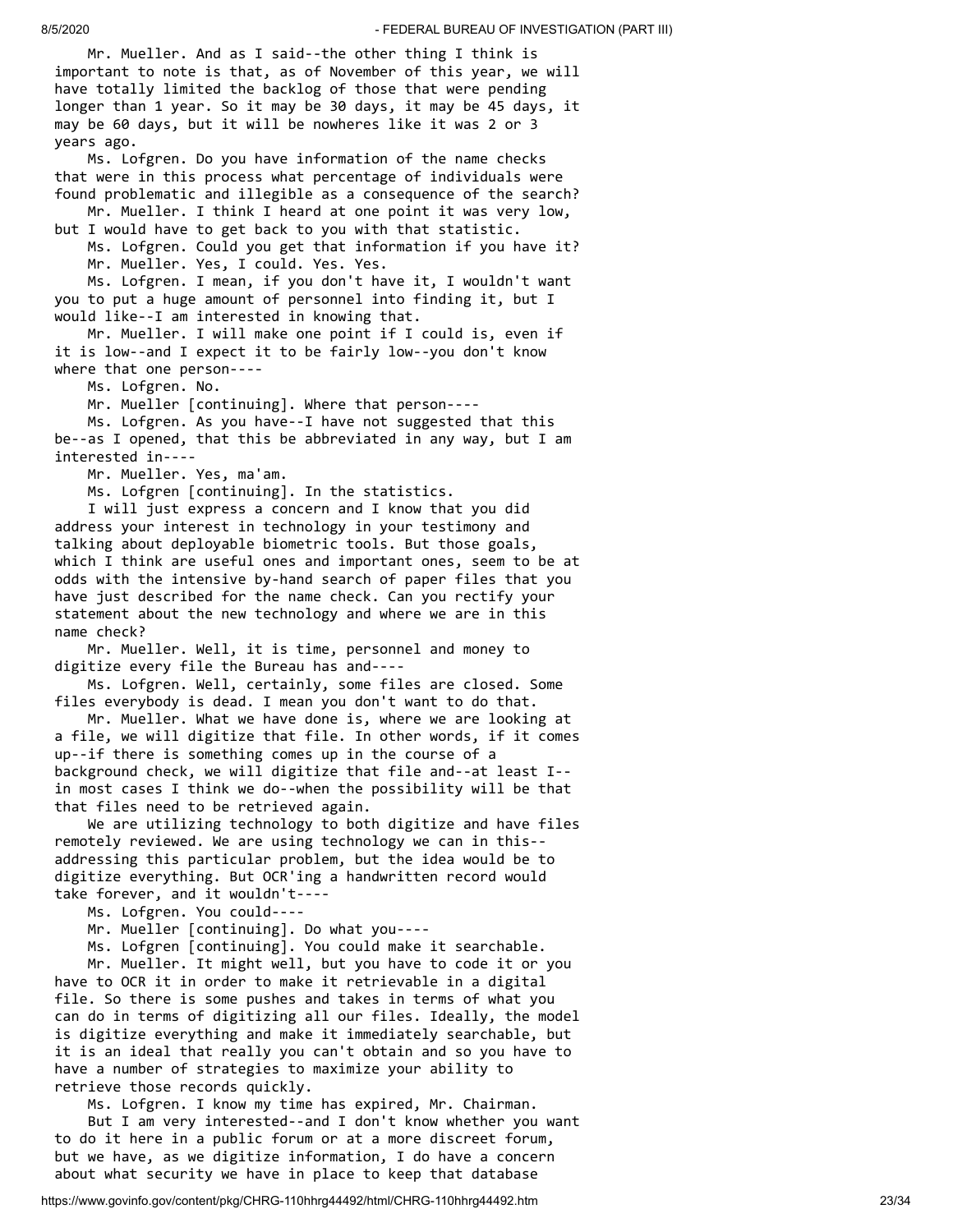Mr. Mueller. And as I said--the other thing I think is important to note is that, as of November of this year, we will have totally limited the backlog of those that were pending longer than 1 year. So it may be 30 days, it may be 45 days, it may be 60 days, but it will be nowheres like it was 2 or 3 years ago.

 Ms. Lofgren. Do you have information of the name checks that were in this process what percentage of individuals were found problematic and illegible as a consequence of the search? Mr. Mueller. I think I heard at one point it was very low,

but I would have to get back to you with that statistic. Ms. Lofgren. Could you get that information if you have it?

Mr. Mueller. Yes, I could. Yes. Yes.

 Ms. Lofgren. I mean, if you don't have it, I wouldn't want you to put a huge amount of personnel into finding it, but I would like--I am interested in knowing that.

 Mr. Mueller. I will make one point if I could is, even if it is low--and I expect it to be fairly low--you don't know where that one person----

Ms. Lofgren. No.

Mr. Mueller [continuing]. Where that person----

 Ms. Lofgren. As you have--I have not suggested that this be--as I opened, that this be abbreviated in any way, but I am interested in----

Mr. Mueller. Yes, ma'am.

Ms. Lofgren [continuing]. In the statistics.

 I will just express a concern and I know that you did address your interest in technology in your testimony and talking about deployable biometric tools. But those goals, which I think are useful ones and important ones, seem to be at odds with the intensive by-hand search of paper files that you have just described for the name check. Can you rectify your statement about the new technology and where we are in this name check?

 Mr. Mueller. Well, it is time, personnel and money to digitize every file the Bureau has and----

 Ms. Lofgren. Well, certainly, some files are closed. Some files everybody is dead. I mean you don't want to do that.

 Mr. Mueller. What we have done is, where we are looking at a file, we will digitize that file. In other words, if it comes up--if there is something comes up in the course of a background check, we will digitize that file and--at least I- in most cases I think we do--when the possibility will be that that files need to be retrieved again.

 We are utilizing technology to both digitize and have files remotely reviewed. We are using technology we can in this- addressing this particular problem, but the idea would be to digitize everything. But OCR'ing a handwritten record would take forever, and it wouldn't----

Ms. Lofgren. You could----

Mr. Mueller [continuing]. Do what you----

Ms. Lofgren [continuing]. You could make it searchable.

 Mr. Mueller. It might well, but you have to code it or you have to OCR it in order to make it retrievable in a digital file. So there is some pushes and takes in terms of what you can do in terms of digitizing all our files. Ideally, the model is digitize everything and make it immediately searchable, but it is an ideal that really you can't obtain and so you have to have a number of strategies to maximize your ability to retrieve those records quickly.

 Ms. Lofgren. I know my time has expired, Mr. Chairman. But I am very interested--and I don't know whether you want to do it here in a public forum or at a more discreet forum, but we have, as we digitize information, I do have a concern about what security we have in place to keep that database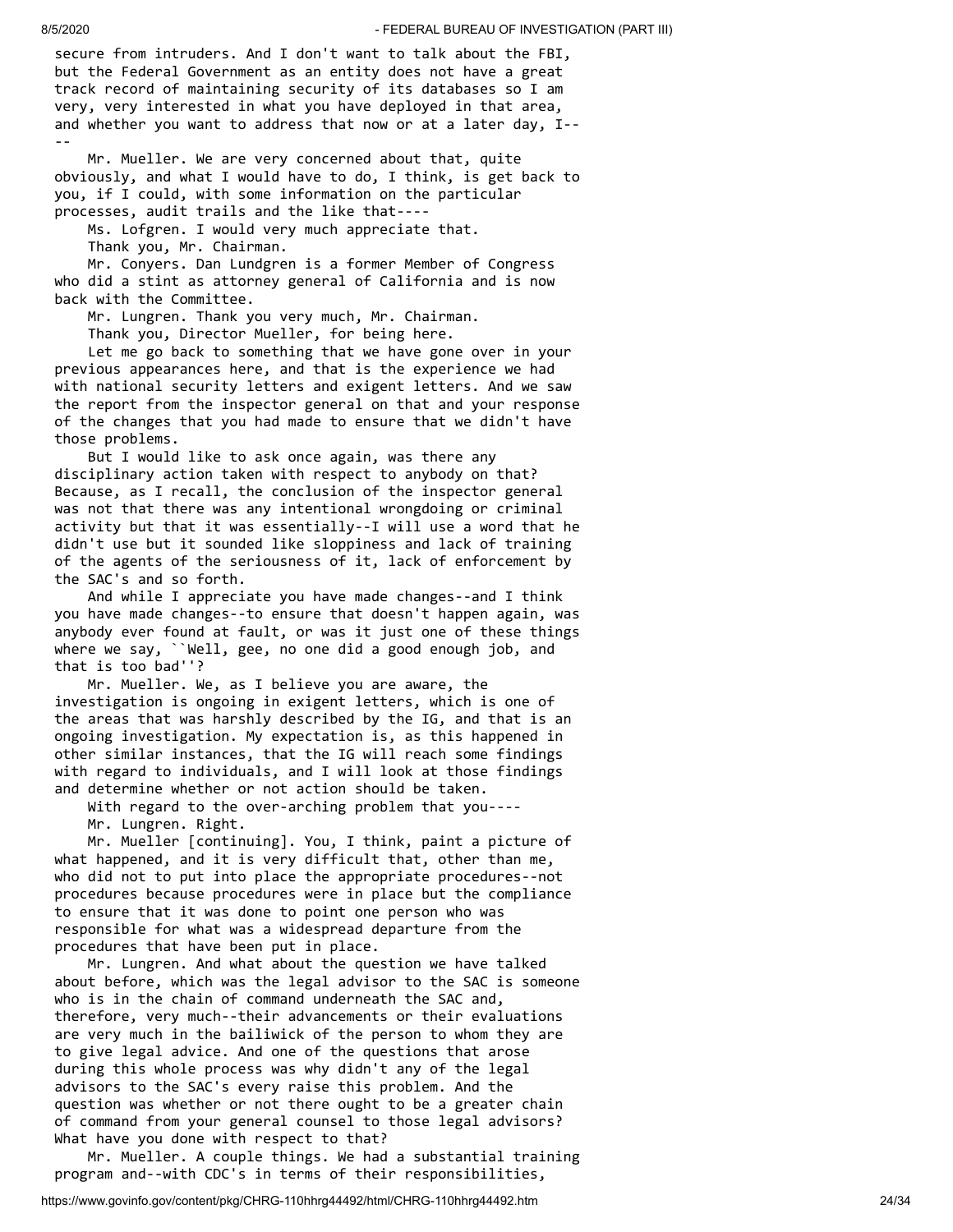secure from intruders. And I don't want to talk about the FBI, but the Federal Government as an entity does not have a great track record of maintaining security of its databases so I am very, very interested in what you have deployed in that area, and whether you want to address that now or at a later day, I-- --

 Mr. Mueller. We are very concerned about that, quite obviously, and what I would have to do, I think, is get back to you, if I could, with some information on the particular processes, audit trails and the like that----

Ms. Lofgren. I would very much appreciate that.

Thank you, Mr. Chairman.

 Mr. Conyers. Dan Lundgren is a former Member of Congress who did a stint as attorney general of California and is now back with the Committee.

Mr. Lungren. Thank you very much, Mr. Chairman.

Thank you, Director Mueller, for being here.

 Let me go back to something that we have gone over in your previous appearances here, and that is the experience we had with national security letters and exigent letters. And we saw the report from the inspector general on that and your response of the changes that you had made to ensure that we didn't have those problems.

 But I would like to ask once again, was there any disciplinary action taken with respect to anybody on that? Because, as I recall, the conclusion of the inspector general was not that there was any intentional wrongdoing or criminal activity but that it was essentially--I will use a word that he didn't use but it sounded like sloppiness and lack of training of the agents of the seriousness of it, lack of enforcement by the SAC's and so forth.

 And while I appreciate you have made changes--and I think you have made changes--to ensure that doesn't happen again, was anybody ever found at fault, or was it just one of these things where we say, ``Well, gee, no one did a good enough job, and that is too bad''?

 Mr. Mueller. We, as I believe you are aware, the investigation is ongoing in exigent letters, which is one of the areas that was harshly described by the IG, and that is an ongoing investigation. My expectation is, as this happened in other similar instances, that the IG will reach some findings with regard to individuals, and I will look at those findings and determine whether or not action should be taken.

 With regard to the over-arching problem that you---- Mr. Lungren. Right.

 Mr. Mueller [continuing]. You, I think, paint a picture of what happened, and it is very difficult that, other than me, who did not to put into place the appropriate procedures--not procedures because procedures were in place but the compliance to ensure that it was done to point one person who was responsible for what was a widespread departure from the procedures that have been put in place.

 Mr. Lungren. And what about the question we have talked about before, which was the legal advisor to the SAC is someone who is in the chain of command underneath the SAC and, therefore, very much--their advancements or their evaluations are very much in the bailiwick of the person to whom they are to give legal advice. And one of the questions that arose during this whole process was why didn't any of the legal advisors to the SAC's every raise this problem. And the question was whether or not there ought to be a greater chain of command from your general counsel to those legal advisors? What have you done with respect to that?

 Mr. Mueller. A couple things. We had a substantial training program and--with CDC's in terms of their responsibilities,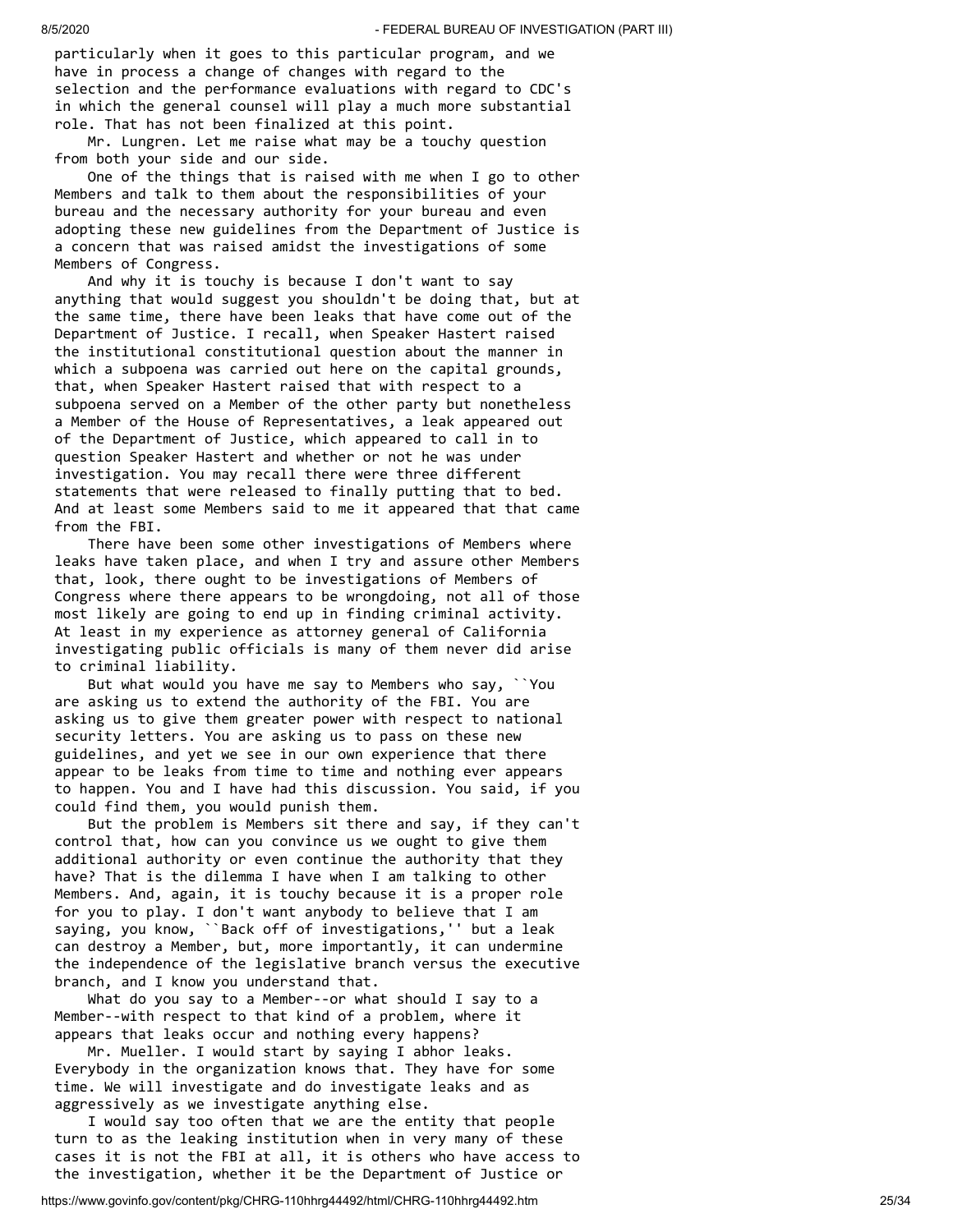particularly when it goes to this particular program, and we have in process a change of changes with regard to the selection and the performance evaluations with regard to CDC's in which the general counsel will play a much more substantial role. That has not been finalized at this point.

 Mr. Lungren. Let me raise what may be a touchy question from both your side and our side.

 One of the things that is raised with me when I go to other Members and talk to them about the responsibilities of your bureau and the necessary authority for your bureau and even adopting these new guidelines from the Department of Justice is a concern that was raised amidst the investigations of some Members of Congress.

 And why it is touchy is because I don't want to say anything that would suggest you shouldn't be doing that, but at the same time, there have been leaks that have come out of the Department of Justice. I recall, when Speaker Hastert raised the institutional constitutional question about the manner in which a subpoena was carried out here on the capital grounds, that, when Speaker Hastert raised that with respect to a subpoena served on a Member of the other party but nonetheless a Member of the House of Representatives, a leak appeared out of the Department of Justice, which appeared to call in to question Speaker Hastert and whether or not he was under investigation. You may recall there were three different statements that were released to finally putting that to bed. And at least some Members said to me it appeared that that came from the FBI.

 There have been some other investigations of Members where leaks have taken place, and when I try and assure other Members that, look, there ought to be investigations of Members of Congress where there appears to be wrongdoing, not all of those most likely are going to end up in finding criminal activity. At least in my experience as attorney general of California investigating public officials is many of them never did arise to criminal liability.

 But what would you have me say to Members who say, ``You are asking us to extend the authority of the FBI. You are asking us to give them greater power with respect to national security letters. You are asking us to pass on these new guidelines, and yet we see in our own experience that there appear to be leaks from time to time and nothing ever appears to happen. You and I have had this discussion. You said, if you could find them, you would punish them.

 But the problem is Members sit there and say, if they can't control that, how can you convince us we ought to give them additional authority or even continue the authority that they have? That is the dilemma I have when I am talking to other Members. And, again, it is touchy because it is a proper role for you to play. I don't want anybody to believe that I am saying, you know, ``Back off of investigations,'' but a leak can destroy a Member, but, more importantly, it can undermine the independence of the legislative branch versus the executive branch, and I know you understand that.

 What do you say to a Member--or what should I say to a Member--with respect to that kind of a problem, where it appears that leaks occur and nothing every happens?

 Mr. Mueller. I would start by saying I abhor leaks. Everybody in the organization knows that. They have for some time. We will investigate and do investigate leaks and as aggressively as we investigate anything else.

 I would say too often that we are the entity that people turn to as the leaking institution when in very many of these cases it is not the FBI at all, it is others who have access to the investigation, whether it be the Department of Justice or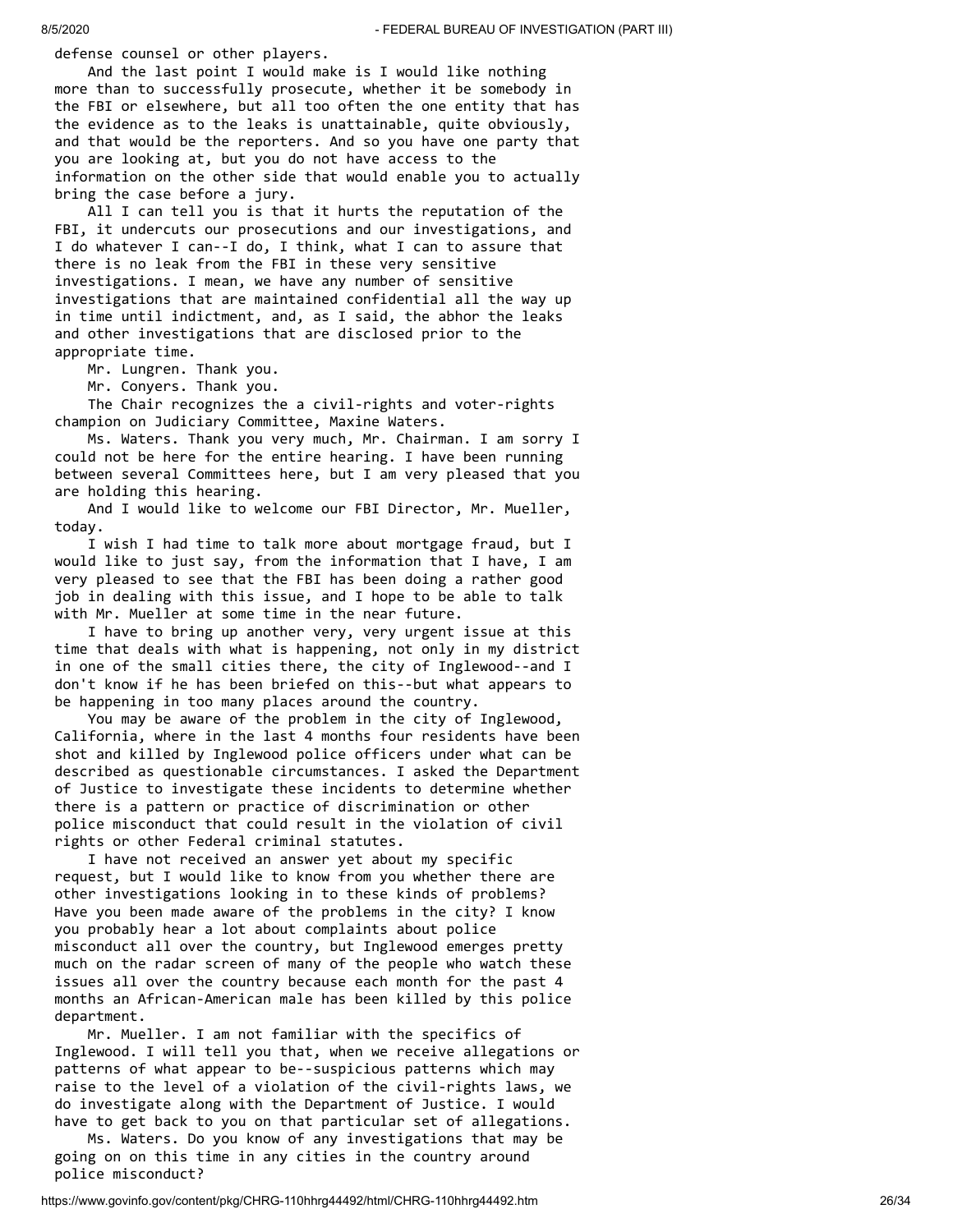defense counsel or other players.

 And the last point I would make is I would like nothing more than to successfully prosecute, whether it be somebody in the FBI or elsewhere, but all too often the one entity that has the evidence as to the leaks is unattainable, quite obviously, and that would be the reporters. And so you have one party that you are looking at, but you do not have access to the information on the other side that would enable you to actually bring the case before a jury.

 All I can tell you is that it hurts the reputation of the FBI, it undercuts our prosecutions and our investigations, and I do whatever I can--I do, I think, what I can to assure that there is no leak from the FBI in these very sensitive investigations. I mean, we have any number of sensitive investigations that are maintained confidential all the way up in time until indictment, and, as I said, the abhor the leaks and other investigations that are disclosed prior to the appropriate time.

Mr. Lungren. Thank you.

Mr. Conyers. Thank you.

 The Chair recognizes the a civil-rights and voter-rights champion on Judiciary Committee, Maxine Waters.

 Ms. Waters. Thank you very much, Mr. Chairman. I am sorry I could not be here for the entire hearing. I have been running between several Committees here, but I am very pleased that you are holding this hearing.

 And I would like to welcome our FBI Director, Mr. Mueller, today.

 I wish I had time to talk more about mortgage fraud, but I would like to just say, from the information that I have, I am very pleased to see that the FBI has been doing a rather good job in dealing with this issue, and I hope to be able to talk with Mr. Mueller at some time in the near future.

 I have to bring up another very, very urgent issue at this time that deals with what is happening, not only in my district in one of the small cities there, the city of Inglewood--and I don't know if he has been briefed on this--but what appears to be happening in too many places around the country.

 You may be aware of the problem in the city of Inglewood, California, where in the last 4 months four residents have been shot and killed by Inglewood police officers under what can be described as questionable circumstances. I asked the Department of Justice to investigate these incidents to determine whether there is a pattern or practice of discrimination or other police misconduct that could result in the violation of civil rights or other Federal criminal statutes.

 I have not received an answer yet about my specific request, but I would like to know from you whether there are other investigations looking in to these kinds of problems? Have you been made aware of the problems in the city? I know you probably hear a lot about complaints about police misconduct all over the country, but Inglewood emerges pretty much on the radar screen of many of the people who watch these issues all over the country because each month for the past 4 months an African-American male has been killed by this police department.

 Mr. Mueller. I am not familiar with the specifics of Inglewood. I will tell you that, when we receive allegations or patterns of what appear to be--suspicious patterns which may raise to the level of a violation of the civil-rights laws, we do investigate along with the Department of Justice. I would have to get back to you on that particular set of allegations.

 Ms. Waters. Do you know of any investigations that may be going on on this time in any cities in the country around police misconduct?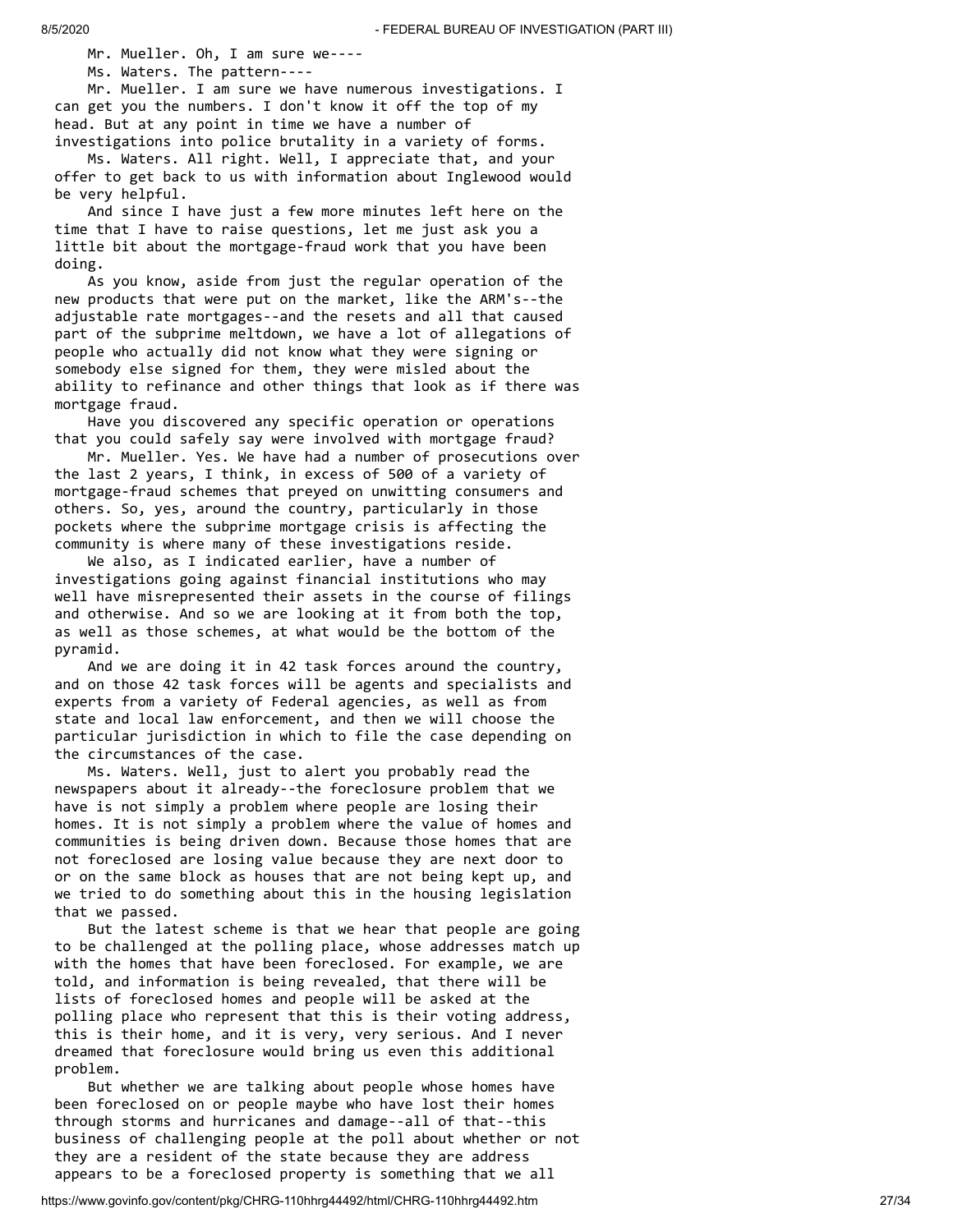Mr. Mueller. Oh, I am sure we----

Ms. Waters. The pattern----

 Mr. Mueller. I am sure we have numerous investigations. I can get you the numbers. I don't know it off the top of my head. But at any point in time we have a number of investigations into police brutality in a variety of forms.

 Ms. Waters. All right. Well, I appreciate that, and your offer to get back to us with information about Inglewood would be very helpful.

 And since I have just a few more minutes left here on the time that I have to raise questions, let me just ask you a little bit about the mortgage-fraud work that you have been doing.

 As you know, aside from just the regular operation of the new products that were put on the market, like the ARM's--the adjustable rate mortgages--and the resets and all that caused part of the subprime meltdown, we have a lot of allegations of people who actually did not know what they were signing or somebody else signed for them, they were misled about the ability to refinance and other things that look as if there was mortgage fraud.

 Have you discovered any specific operation or operations that you could safely say were involved with mortgage fraud?

 Mr. Mueller. Yes. We have had a number of prosecutions over the last 2 years, I think, in excess of 500 of a variety of mortgage-fraud schemes that preyed on unwitting consumers and others. So, yes, around the country, particularly in those pockets where the subprime mortgage crisis is affecting the community is where many of these investigations reside.

We also, as I indicated earlier, have a number of investigations going against financial institutions who may well have misrepresented their assets in the course of filings and otherwise. And so we are looking at it from both the top, as well as those schemes, at what would be the bottom of the pyramid.

 And we are doing it in 42 task forces around the country, and on those 42 task forces will be agents and specialists and experts from a variety of Federal agencies, as well as from state and local law enforcement, and then we will choose the particular jurisdiction in which to file the case depending on the circumstances of the case.

 Ms. Waters. Well, just to alert you probably read the newspapers about it already--the foreclosure problem that we have is not simply a problem where people are losing their homes. It is not simply a problem where the value of homes and communities is being driven down. Because those homes that are not foreclosed are losing value because they are next door to or on the same block as houses that are not being kept up, and we tried to do something about this in the housing legislation that we passed.

 But the latest scheme is that we hear that people are going to be challenged at the polling place, whose addresses match up with the homes that have been foreclosed. For example, we are told, and information is being revealed, that there will be lists of foreclosed homes and people will be asked at the polling place who represent that this is their voting address, this is their home, and it is very, very serious. And I never dreamed that foreclosure would bring us even this additional problem.

 But whether we are talking about people whose homes have been foreclosed on or people maybe who have lost their homes through storms and hurricanes and damage--all of that--this business of challenging people at the poll about whether or not they are a resident of the state because they are address appears to be a foreclosed property is something that we all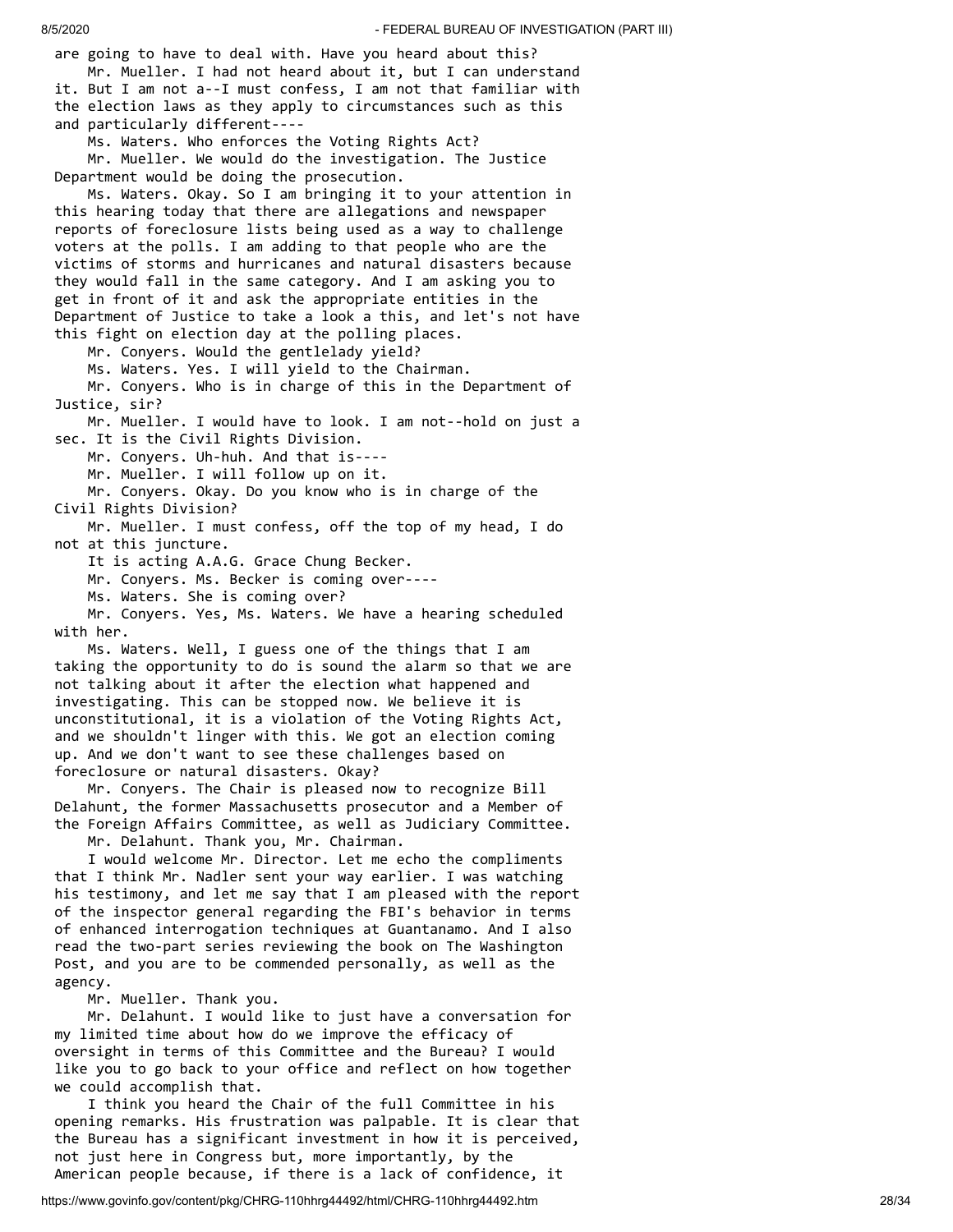are going to have to deal with. Have you heard about this? Mr. Mueller. I had not heard about it, but I can understand it. But I am not a--I must confess, I am not that familiar with the election laws as they apply to circumstances such as this and particularly different---- Ms. Waters. Who enforces the Voting Rights Act?

 Mr. Mueller. We would do the investigation. The Justice Department would be doing the prosecution.

 Ms. Waters. Okay. So I am bringing it to your attention in this hearing today that there are allegations and newspaper reports of foreclosure lists being used as a way to challenge voters at the polls. I am adding to that people who are the victims of storms and hurricanes and natural disasters because they would fall in the same category. And I am asking you to get in front of it and ask the appropriate entities in the Department of Justice to take a look a this, and let's not have this fight on election day at the polling places.

Mr. Conyers. Would the gentlelady yield?

Ms. Waters. Yes. I will yield to the Chairman.

 Mr. Conyers. Who is in charge of this in the Department of Justice, sir?

 Mr. Mueller. I would have to look. I am not--hold on just a sec. It is the Civil Rights Division.

Mr. Conyers. Uh-huh. And that is----

Mr. Mueller. I will follow up on it.

 Mr. Conyers. Okay. Do you know who is in charge of the Civil Rights Division?

 Mr. Mueller. I must confess, off the top of my head, I do not at this juncture.

It is acting A.A.G. Grace Chung Becker.

Mr. Conyers. Ms. Becker is coming over----

Ms. Waters. She is coming over?

 Mr. Conyers. Yes, Ms. Waters. We have a hearing scheduled with her.

 Ms. Waters. Well, I guess one of the things that I am taking the opportunity to do is sound the alarm so that we are not talking about it after the election what happened and investigating. This can be stopped now. We believe it is unconstitutional, it is a violation of the Voting Rights Act, and we shouldn't linger with this. We got an election coming up. And we don't want to see these challenges based on foreclosure or natural disasters. Okay?

 Mr. Conyers. The Chair is pleased now to recognize Bill Delahunt, the former Massachusetts prosecutor and a Member of the Foreign Affairs Committee, as well as Judiciary Committee.

Mr. Delahunt. Thank you, Mr. Chairman.

 I would welcome Mr. Director. Let me echo the compliments that I think Mr. Nadler sent your way earlier. I was watching his testimony, and let me say that I am pleased with the report of the inspector general regarding the FBI's behavior in terms of enhanced interrogation techniques at Guantanamo. And I also read the two-part series reviewing the book on The Washington Post, and you are to be commended personally, as well as the agency.

Mr. Mueller. Thank you.

 Mr. Delahunt. I would like to just have a conversation for my limited time about how do we improve the efficacy of oversight in terms of this Committee and the Bureau? I would like you to go back to your office and reflect on how together we could accomplish that.

 I think you heard the Chair of the full Committee in his opening remarks. His frustration was palpable. It is clear that the Bureau has a significant investment in how it is perceived, not just here in Congress but, more importantly, by the American people because, if there is a lack of confidence, it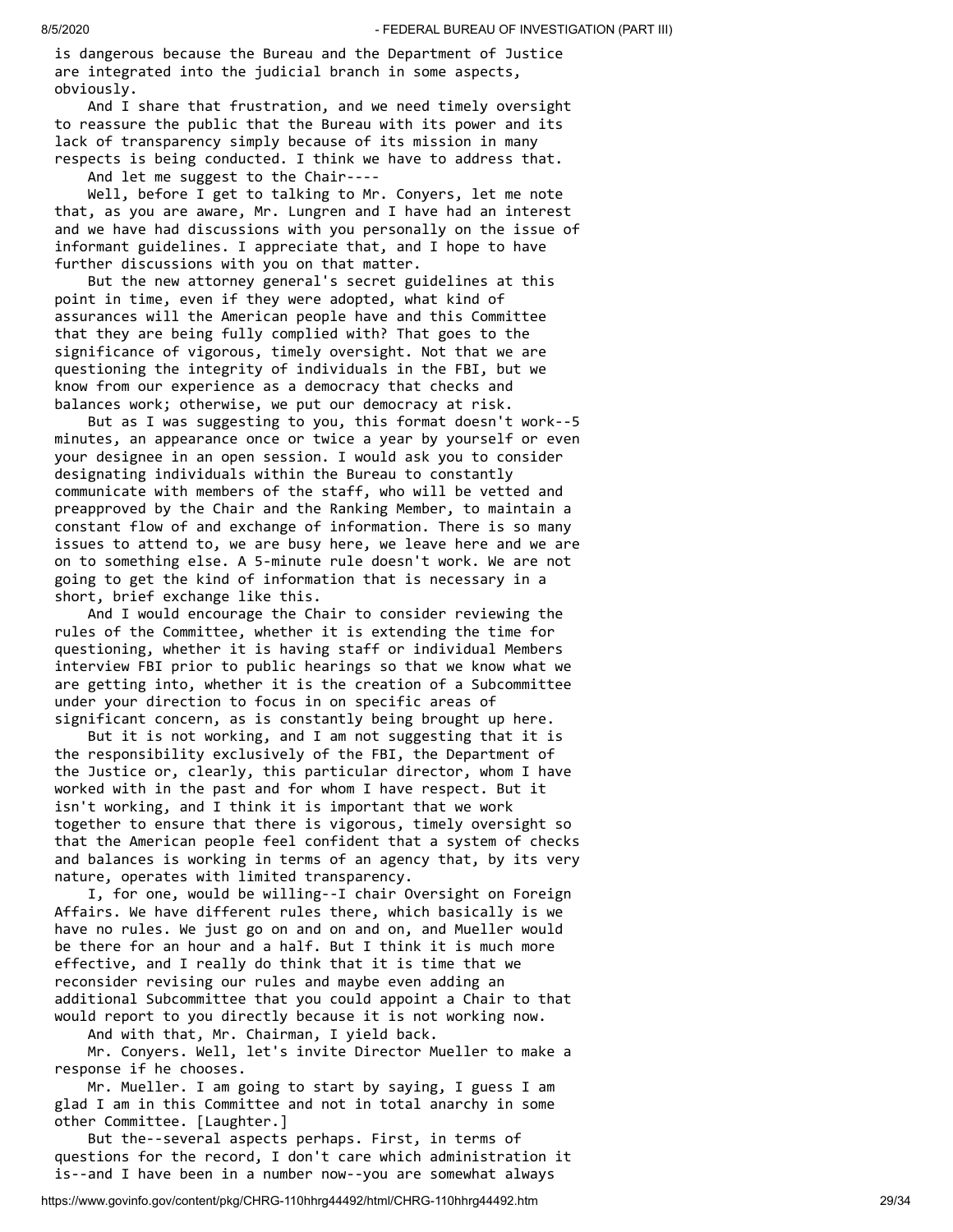is dangerous because the Bureau and the Department of Justice are integrated into the judicial branch in some aspects, obviously.

 And I share that frustration, and we need timely oversight to reassure the public that the Bureau with its power and its lack of transparency simply because of its mission in many respects is being conducted. I think we have to address that.

And let me suggest to the Chair----

 Well, before I get to talking to Mr. Conyers, let me note that, as you are aware, Mr. Lungren and I have had an interest and we have had discussions with you personally on the issue of informant guidelines. I appreciate that, and I hope to have further discussions with you on that matter.

 But the new attorney general's secret guidelines at this point in time, even if they were adopted, what kind of assurances will the American people have and this Committee that they are being fully complied with? That goes to the significance of vigorous, timely oversight. Not that we are questioning the integrity of individuals in the FBI, but we know from our experience as a democracy that checks and balances work; otherwise, we put our democracy at risk.

 But as I was suggesting to you, this format doesn't work--5 minutes, an appearance once or twice a year by yourself or even your designee in an open session. I would ask you to consider designating individuals within the Bureau to constantly communicate with members of the staff, who will be vetted and preapproved by the Chair and the Ranking Member, to maintain a constant flow of and exchange of information. There is so many issues to attend to, we are busy here, we leave here and we are on to something else. A 5-minute rule doesn't work. We are not going to get the kind of information that is necessary in a short, brief exchange like this.

 And I would encourage the Chair to consider reviewing the rules of the Committee, whether it is extending the time for questioning, whether it is having staff or individual Members interview FBI prior to public hearings so that we know what we are getting into, whether it is the creation of a Subcommittee under your direction to focus in on specific areas of significant concern, as is constantly being brought up here.

 But it is not working, and I am not suggesting that it is the responsibility exclusively of the FBI, the Department of the Justice or, clearly, this particular director, whom I have worked with in the past and for whom I have respect. But it isn't working, and I think it is important that we work together to ensure that there is vigorous, timely oversight so that the American people feel confident that a system of checks and balances is working in terms of an agency that, by its very nature, operates with limited transparency.

 I, for one, would be willing--I chair Oversight on Foreign Affairs. We have different rules there, which basically is we have no rules. We just go on and on and on, and Mueller would be there for an hour and a half. But I think it is much more effective, and I really do think that it is time that we reconsider revising our rules and maybe even adding an additional Subcommittee that you could appoint a Chair to that would report to you directly because it is not working now.

And with that, Mr. Chairman, I yield back.

 Mr. Conyers. Well, let's invite Director Mueller to make a response if he chooses.

 Mr. Mueller. I am going to start by saying, I guess I am glad I am in this Committee and not in total anarchy in some other Committee. [Laughter.]

 But the--several aspects perhaps. First, in terms of questions for the record, I don't care which administration it is--and I have been in a number now--you are somewhat always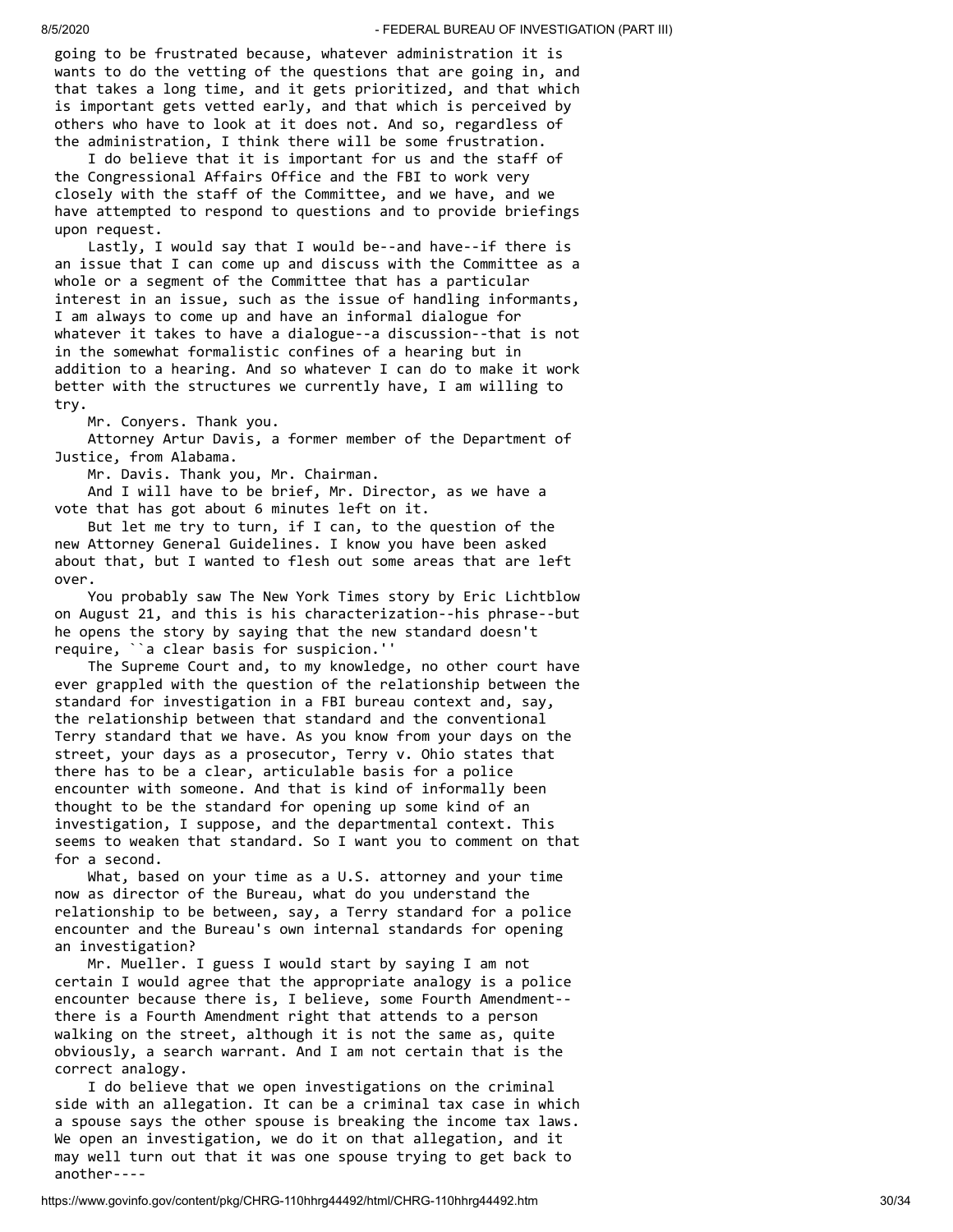going to be frustrated because, whatever administration it is wants to do the vetting of the questions that are going in, and that takes a long time, and it gets prioritized, and that which is important gets vetted early, and that which is perceived by others who have to look at it does not. And so, regardless of the administration, I think there will be some frustration.

 I do believe that it is important for us and the staff of the Congressional Affairs Office and the FBI to work very closely with the staff of the Committee, and we have, and we have attempted to respond to questions and to provide briefings upon request.

 Lastly, I would say that I would be--and have--if there is an issue that I can come up and discuss with the Committee as a whole or a segment of the Committee that has a particular interest in an issue, such as the issue of handling informants, I am always to come up and have an informal dialogue for whatever it takes to have a dialogue--a discussion--that is not in the somewhat formalistic confines of a hearing but in addition to a hearing. And so whatever I can do to make it work better with the structures we currently have, I am willing to try.

Mr. Conyers. Thank you.

 Attorney Artur Davis, a former member of the Department of Justice, from Alabama.

Mr. Davis. Thank you, Mr. Chairman.

 And I will have to be brief, Mr. Director, as we have a vote that has got about 6 minutes left on it.

 But let me try to turn, if I can, to the question of the new Attorney General Guidelines. I know you have been asked about that, but I wanted to flesh out some areas that are left over.

 You probably saw The New York Times story by Eric Lichtblow on August 21, and this is his characterization--his phrase--but he opens the story by saying that the new standard doesn't require, ``a clear basis for suspicion.''

 The Supreme Court and, to my knowledge, no other court have ever grappled with the question of the relationship between the standard for investigation in a FBI bureau context and, say, the relationship between that standard and the conventional Terry standard that we have. As you know from your days on the street, your days as a prosecutor, Terry v. Ohio states that there has to be a clear, articulable basis for a police encounter with someone. And that is kind of informally been thought to be the standard for opening up some kind of an investigation, I suppose, and the departmental context. This seems to weaken that standard. So I want you to comment on that for a second.

 What, based on your time as a U.S. attorney and your time now as director of the Bureau, what do you understand the relationship to be between, say, a Terry standard for a police encounter and the Bureau's own internal standards for opening an investigation?

 Mr. Mueller. I guess I would start by saying I am not certain I would agree that the appropriate analogy is a police encounter because there is, I believe, some Fourth Amendment- there is a Fourth Amendment right that attends to a person walking on the street, although it is not the same as, quite obviously, a search warrant. And I am not certain that is the correct analogy.

 I do believe that we open investigations on the criminal side with an allegation. It can be a criminal tax case in which a spouse says the other spouse is breaking the income tax laws. We open an investigation, we do it on that allegation, and it may well turn out that it was one spouse trying to get back to another----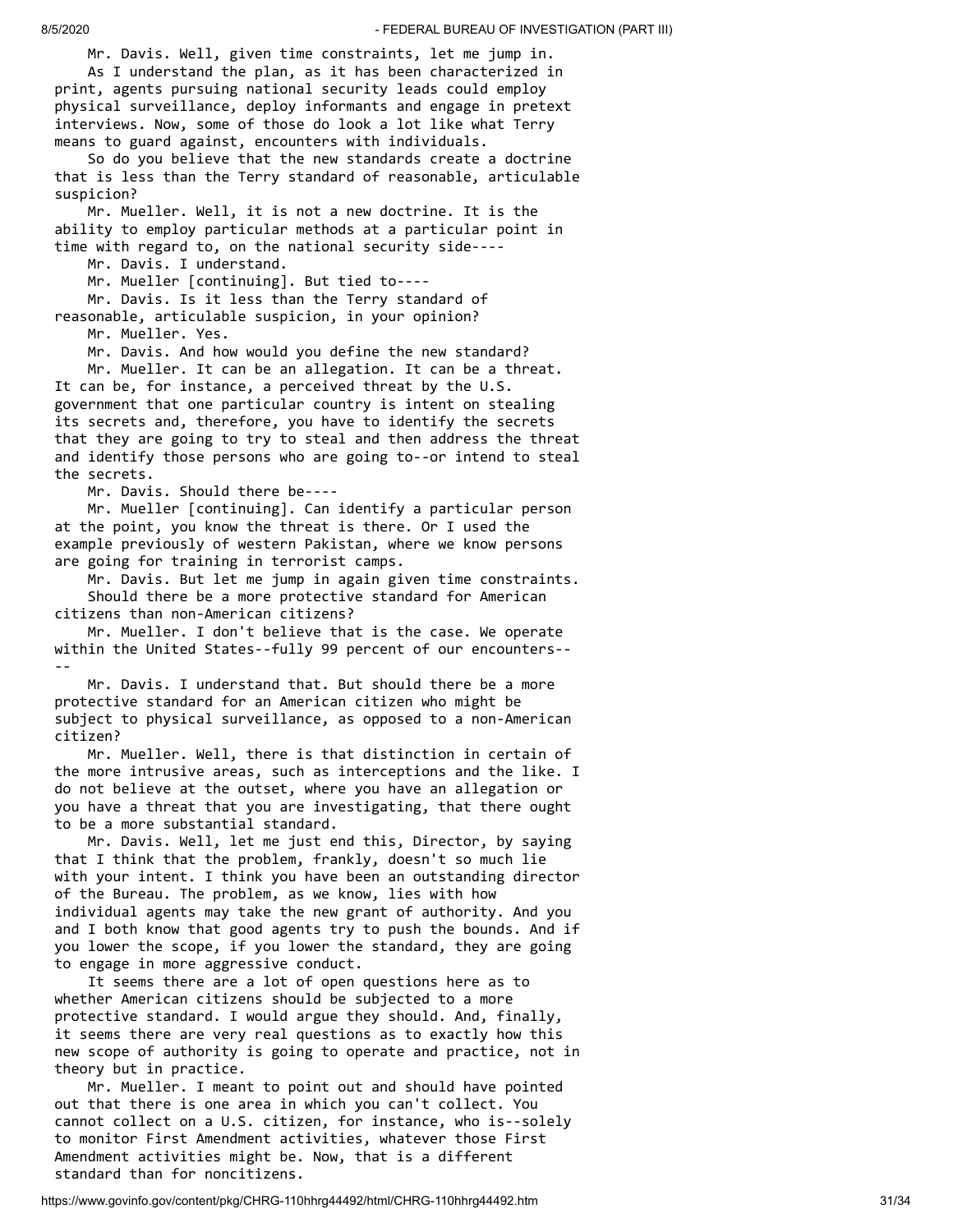Mr. Davis. Well, given time constraints, let me jump in. As I understand the plan, as it has been characterized in print, agents pursuing national security leads could employ

physical surveillance, deploy informants and engage in pretext interviews. Now, some of those do look a lot like what Terry means to guard against, encounters with individuals.

 So do you believe that the new standards create a doctrine that is less than the Terry standard of reasonable, articulable suspicion?

 Mr. Mueller. Well, it is not a new doctrine. It is the ability to employ particular methods at a particular point in time with regard to, on the national security side----

Mr. Davis. I understand.

Mr. Mueller [continuing]. But tied to----

Mr. Davis. Is it less than the Terry standard of

reasonable, articulable suspicion, in your opinion?

Mr. Mueller. Yes.

Mr. Davis. And how would you define the new standard?

 Mr. Mueller. It can be an allegation. It can be a threat. It can be, for instance, a perceived threat by the U.S. government that one particular country is intent on stealing its secrets and, therefore, you have to identify the secrets that they are going to try to steal and then address the threat and identify those persons who are going to--or intend to steal the secrets.

Mr. Davis. Should there be----

 Mr. Mueller [continuing]. Can identify a particular person at the point, you know the threat is there. Or I used the example previously of western Pakistan, where we know persons are going for training in terrorist camps.

 Mr. Davis. But let me jump in again given time constraints. Should there be a more protective standard for American citizens than non-American citizens?

 Mr. Mueller. I don't believe that is the case. We operate within the United States--fully 99 percent of our encounters-- --

 Mr. Davis. I understand that. But should there be a more protective standard for an American citizen who might be subject to physical surveillance, as opposed to a non-American citizen?

 Mr. Mueller. Well, there is that distinction in certain of the more intrusive areas, such as interceptions and the like. I do not believe at the outset, where you have an allegation or you have a threat that you are investigating, that there ought to be a more substantial standard.

 Mr. Davis. Well, let me just end this, Director, by saying that I think that the problem, frankly, doesn't so much lie with your intent. I think you have been an outstanding director of the Bureau. The problem, as we know, lies with how individual agents may take the new grant of authority. And you and I both know that good agents try to push the bounds. And if you lower the scope, if you lower the standard, they are going to engage in more aggressive conduct.

 It seems there are a lot of open questions here as to whether American citizens should be subjected to a more protective standard. I would argue they should. And, finally, it seems there are very real questions as to exactly how this new scope of authority is going to operate and practice, not in theory but in practice.

 Mr. Mueller. I meant to point out and should have pointed out that there is one area in which you can't collect. You cannot collect on a U.S. citizen, for instance, who is--solely to monitor First Amendment activities, whatever those First Amendment activities might be. Now, that is a different standard than for noncitizens.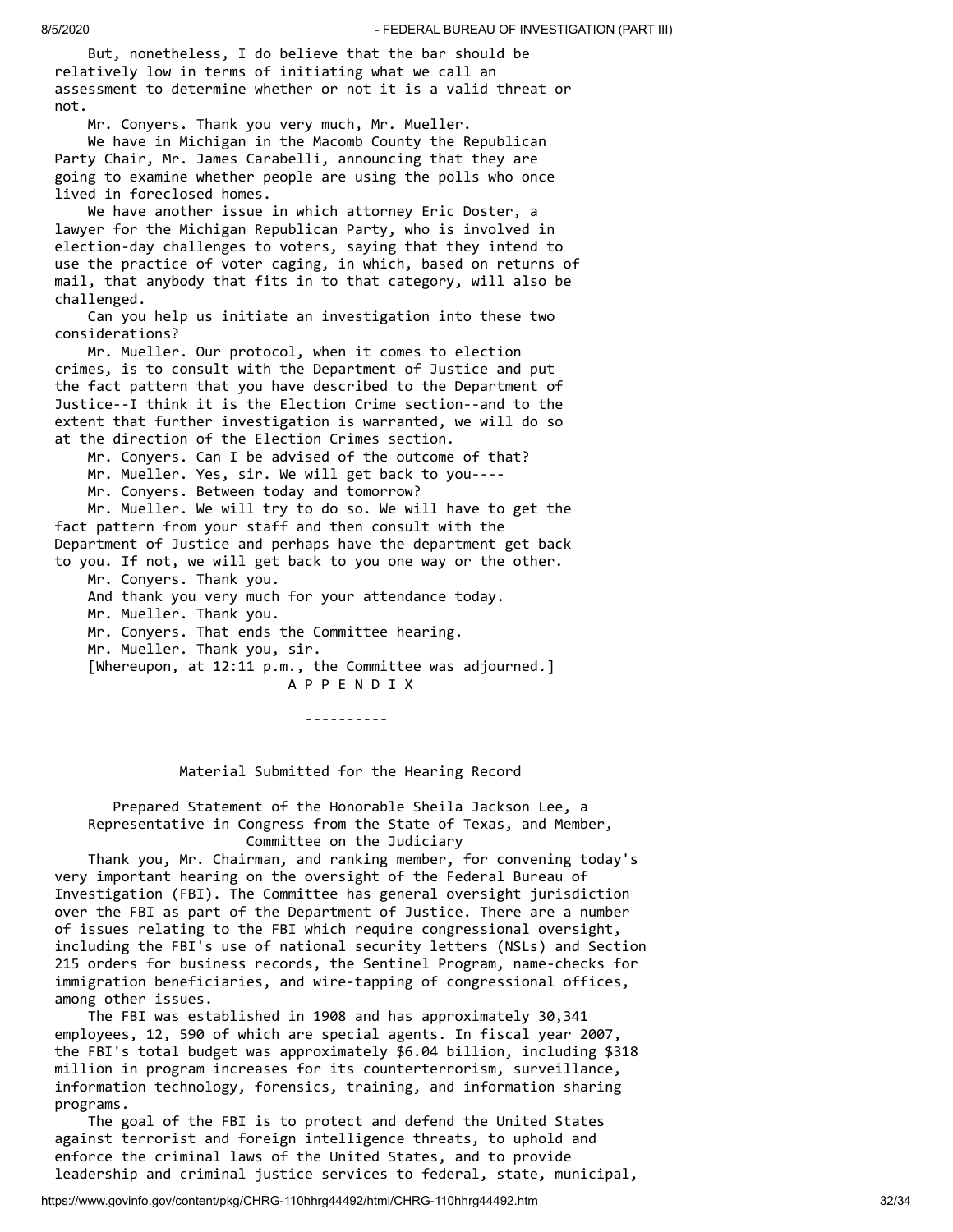But, nonetheless, I do believe that the bar should be relatively low in terms of initiating what we call an assessment to determine whether or not it is a valid threat or not.

Mr. Conyers. Thank you very much, Mr. Mueller.

 We have in Michigan in the Macomb County the Republican Party Chair, Mr. James Carabelli, announcing that they are going to examine whether people are using the polls who once lived in foreclosed homes.

 We have another issue in which attorney Eric Doster, a lawyer for the Michigan Republican Party, who is involved in election-day challenges to voters, saying that they intend to use the practice of voter caging, in which, based on returns of mail, that anybody that fits in to that category, will also be challenged.

 Can you help us initiate an investigation into these two considerations?

 Mr. Mueller. Our protocol, when it comes to election crimes, is to consult with the Department of Justice and put the fact pattern that you have described to the Department of Justice--I think it is the Election Crime section--and to the extent that further investigation is warranted, we will do so at the direction of the Election Crimes section.

Mr. Conyers. Can I be advised of the outcome of that?

Mr. Mueller. Yes, sir. We will get back to you----

Mr. Conyers. Between today and tomorrow?

 Mr. Mueller. We will try to do so. We will have to get the fact pattern from your staff and then consult with the Department of Justice and perhaps have the department get back

to you. If not, we will get back to you one way or the other. Mr. Conyers. Thank you. And thank you very much for your attendance today. Mr. Mueller. Thank you. Mr. Conyers. That ends the Committee hearing. Mr. Mueller. Thank you, sir. [Whereupon, at 12:11 p.m., the Committee was adjourned.]

 A P P E N D I X ----------

Material Submitted for the Hearing Record

 Prepared Statement of the Honorable Sheila Jackson Lee, a Representative in Congress from the State of Texas, and Member, Committee on the Judiciary

 Thank you, Mr. Chairman, and ranking member, for convening today's very important hearing on the oversight of the Federal Bureau of Investigation (FBI). The Committee has general oversight jurisdiction over the FBI as part of the Department of Justice. There are a number of issues relating to the FBI which require congressional oversight, including the FBI's use of national security letters (NSLs) and Section 215 orders for business records, the Sentinel Program, name-checks for immigration beneficiaries, and wire-tapping of congressional offices, among other issues.

 The FBI was established in 1908 and has approximately 30,341 employees, 12, 590 of which are special agents. In fiscal year 2007, the FBI's total budget was approximately \$6.04 billion, including \$318 million in program increases for its counterterrorism, surveillance, information technology, forensics, training, and information sharing programs.

 The goal of the FBI is to protect and defend the United States against terrorist and foreign intelligence threats, to uphold and enforce the criminal laws of the United States, and to provide leadership and criminal justice services to federal, state, municipal,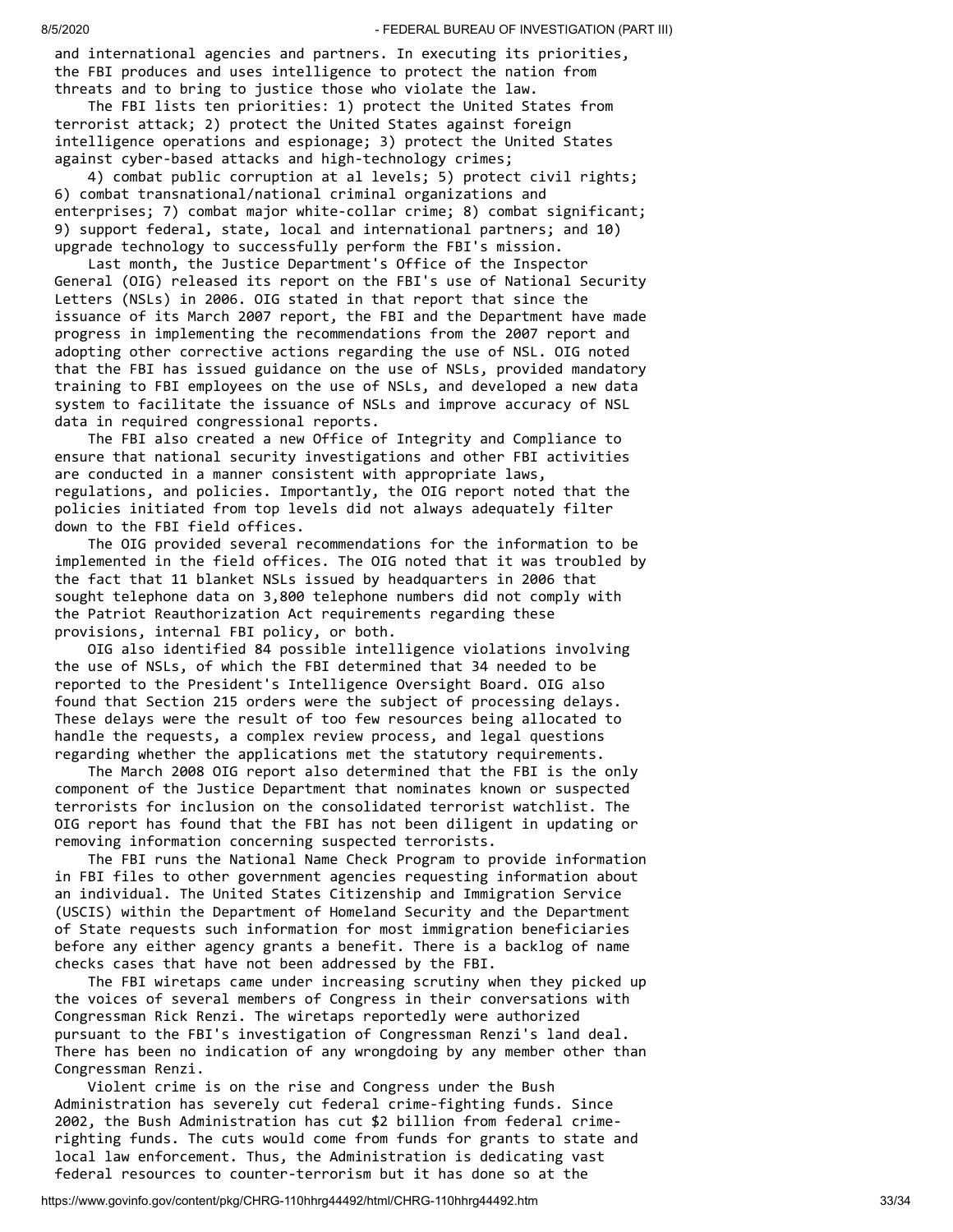and international agencies and partners. In executing its priorities, the FBI produces and uses intelligence to protect the nation from threats and to bring to justice those who violate the law.

 The FBI lists ten priorities: 1) protect the United States from terrorist attack; 2) protect the United States against foreign intelligence operations and espionage; 3) protect the United States against cyber-based attacks and high-technology crimes;

 4) combat public corruption at al levels; 5) protect civil rights; 6) combat transnational/national criminal organizations and enterprises; 7) combat major white-collar crime; 8) combat significant; 9) support federal, state, local and international partners; and 10) upgrade technology to successfully perform the FBI's mission.

 Last month, the Justice Department's Office of the Inspector General (OIG) released its report on the FBI's use of National Security Letters (NSLs) in 2006. OIG stated in that report that since the issuance of its March 2007 report, the FBI and the Department have made progress in implementing the recommendations from the 2007 report and adopting other corrective actions regarding the use of NSL. OIG noted that the FBI has issued guidance on the use of NSLs, provided mandatory training to FBI employees on the use of NSLs, and developed a new data system to facilitate the issuance of NSLs and improve accuracy of NSL data in required congressional reports.

 The FBI also created a new Office of Integrity and Compliance to ensure that national security investigations and other FBI activities are conducted in a manner consistent with appropriate laws, regulations, and policies. Importantly, the OIG report noted that the policies initiated from top levels did not always adequately filter down to the FBI field offices.

 The OIG provided several recommendations for the information to be implemented in the field offices. The OIG noted that it was troubled by the fact that 11 blanket NSLs issued by headquarters in 2006 that sought telephone data on 3,800 telephone numbers did not comply with the Patriot Reauthorization Act requirements regarding these provisions, internal FBI policy, or both.

 OIG also identified 84 possible intelligence violations involving the use of NSLs, of which the FBI determined that 34 needed to be reported to the President's Intelligence Oversight Board. OIG also found that Section 215 orders were the subject of processing delays. These delays were the result of too few resources being allocated to handle the requests, a complex review process, and legal questions regarding whether the applications met the statutory requirements.

 The March 2008 OIG report also determined that the FBI is the only component of the Justice Department that nominates known or suspected terrorists for inclusion on the consolidated terrorist watchlist. The OIG report has found that the FBI has not been diligent in updating or removing information concerning suspected terrorists.

 The FBI runs the National Name Check Program to provide information in FBI files to other government agencies requesting information about an individual. The United States Citizenship and Immigration Service (USCIS) within the Department of Homeland Security and the Department of State requests such information for most immigration beneficiaries before any either agency grants a benefit. There is a backlog of name checks cases that have not been addressed by the FBI.

 The FBI wiretaps came under increasing scrutiny when they picked up the voices of several members of Congress in their conversations with Congressman Rick Renzi. The wiretaps reportedly were authorized pursuant to the FBI's investigation of Congressman Renzi's land deal. There has been no indication of any wrongdoing by any member other than Congressman Renzi.

 Violent crime is on the rise and Congress under the Bush Administration has severely cut federal crime-fighting funds. Since 2002, the Bush Administration has cut \$2 billion from federal crimerighting funds. The cuts would come from funds for grants to state and local law enforcement. Thus, the Administration is dedicating vast federal resources to counter-terrorism but it has done so at the